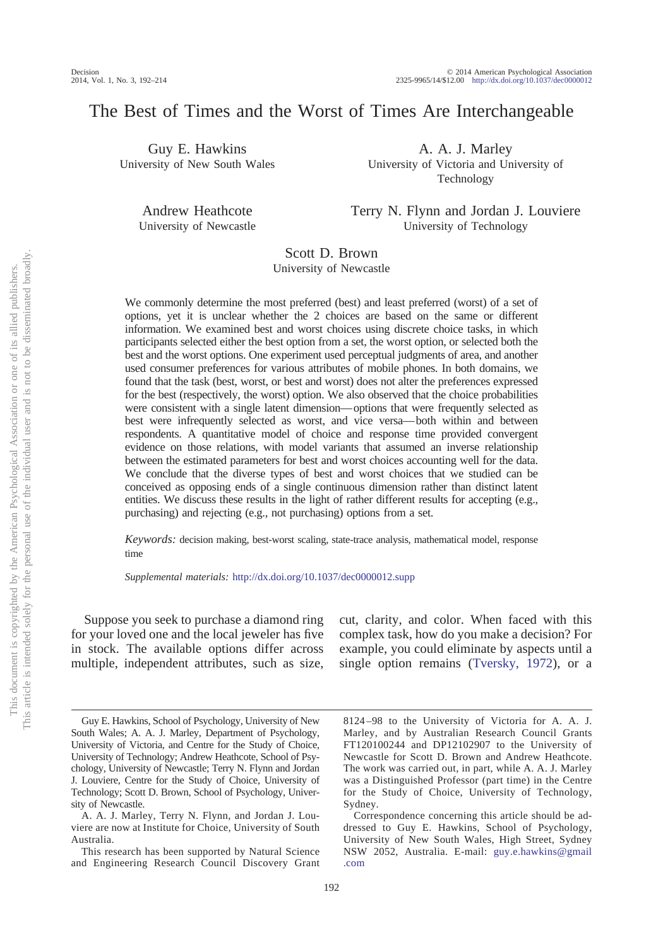# The Best of Times and the Worst of Times Are Interchangeable

Guy E. Hawkins University of New South Wales

A. A. J. Marley University of Victoria and University of Technology

Andrew Heathcote University of Newcastle Terry N. Flynn and Jordan J. Louviere University of Technology

Scott D. Brown University of Newcastle

We commonly determine the most preferred (best) and least preferred (worst) of a set of options, yet it is unclear whether the 2 choices are based on the same or different information. We examined best and worst choices using discrete choice tasks, in which participants selected either the best option from a set, the worst option, or selected both the best and the worst options. One experiment used perceptual judgments of area, and another used consumer preferences for various attributes of mobile phones. In both domains, we found that the task (best, worst, or best and worst) does not alter the preferences expressed for the best (respectively, the worst) option. We also observed that the choice probabilities were consistent with a single latent dimension—options that were frequently selected as best were infrequently selected as worst, and vice versa—both within and between respondents. A quantitative model of choice and response time provided convergent evidence on those relations, with model variants that assumed an inverse relationship between the estimated parameters for best and worst choices accounting well for the data. We conclude that the diverse types of best and worst choices that we studied can be conceived as opposing ends of a single continuous dimension rather than distinct latent entities. We discuss these results in the light of rather different results for accepting (e.g., purchasing) and rejecting (e.g., not purchasing) options from a set.

*Keywords:* decision making, best-worst scaling, state-trace analysis, mathematical model, response time

*Supplemental materials:* http://dx.doi.org[/10.1037/dec0000012.supp](http://dx.doi.org/10.1037/dec0000012.supp)

Suppose you seek to purchase a diamond ring for your loved one and the local jeweler has five in stock. The available options differ across multiple, independent attributes, such as size,

8124–98 to the University of Victoria for A. A. J. Marley, and by Australian Research Council Grants FT120100244 and DP12102907 to the University of Newcastle for Scott D. Brown and Andrew Heathcote. The work was carried out, in part, while A. A. J. Marley was a Distinguished Professor (part time) in the Centre for the Study of Choice, University of Technology, Sydney.

cut, clarity, and color. When faced with this complex task, how do you make a decision? For example, you could eliminate by aspects until a single option remains [\(Tversky, 1972\)](#page-22-0), or a

Guy E. Hawkins, School of Psychology, University of New South Wales; A. A. J. Marley, Department of Psychology, University of Victoria, and Centre for the Study of Choice, University of Technology; Andrew Heathcote, School of Psychology, University of Newcastle; Terry N. Flynn and Jordan J. Louviere, Centre for the Study of Choice, University of Technology; Scott D. Brown, School of Psychology, University of Newcastle.

A. A. J. Marley, Terry N. Flynn, and Jordan J. Louviere are now at Institute for Choice, University of South Australia.

This research has been supported by Natural Science and Engineering Research Council Discovery Grant

Correspondence concerning this article should be addressed to Guy E. Hawkins, School of Psychology, University of New South Wales, High Street, Sydney NSW 2052, Australia. E-mail: [guy.e.hawkins@gmail](mailto:guy.e.hawkins@gmail.com) [.com](mailto:guy.e.hawkins@gmail.com)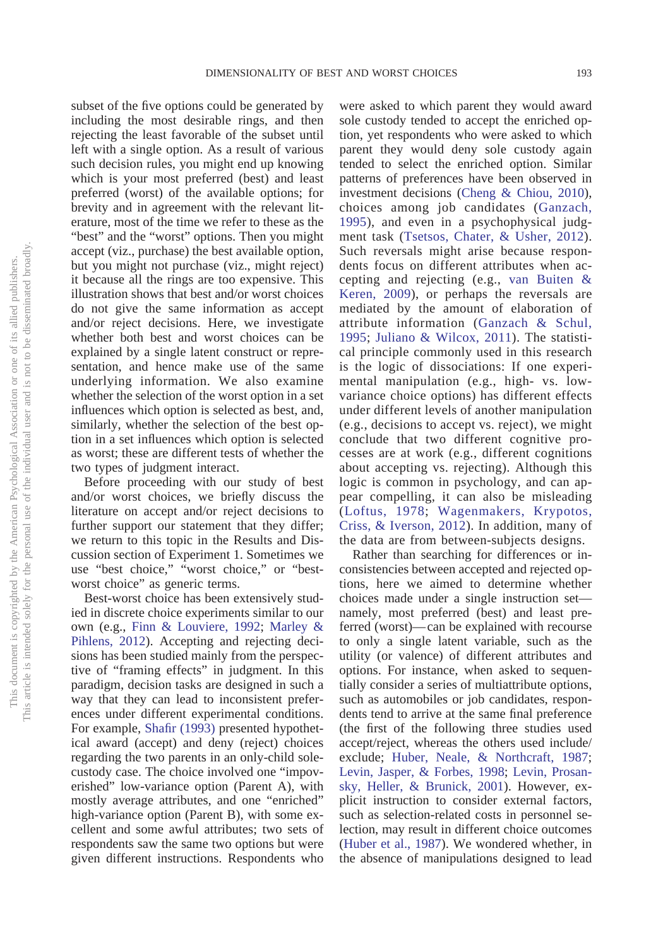subset of the five options could be generated by including the most desirable rings, and then rejecting the least favorable of the subset until left with a single option. As a result of various such decision rules, you might end up knowing which is your most preferred (best) and least preferred (worst) of the available options; for brevity and in agreement with the relevant literature, most of the time we refer to these as the "best" and the "worst" options. Then you might accept (viz., purchase) the best available option, but you might not purchase (viz., might reject) it because all the rings are too expensive. This illustration shows that best and/or worst choices do not give the same information as accept and/or reject decisions. Here, we investigate whether both best and worst choices can be explained by a single latent construct or representation, and hence make use of the same underlying information. We also examine whether the selection of the worst option in a set influences which option is selected as best, and, similarly, whether the selection of the best option in a set influences which option is selected as worst; these are different tests of whether the two types of judgment interact.

Before proceeding with our study of best and/or worst choices, we briefly discuss the literature on accept and/or reject decisions to further support our statement that they differ; we return to this topic in the Results and Discussion section of Experiment 1. Sometimes we use "best choice," "worst choice," or "bestworst choice" as generic terms.

Best-worst choice has been extensively studied in discrete choice experiments similar to our own (e.g., [Finn & Louviere, 1992;](#page-20-0) [Marley &](#page-21-0) [Pihlens, 2012\)](#page-21-0). Accepting and rejecting decisions has been studied mainly from the perspective of "framing effects" in judgment. In this paradigm, decision tasks are designed in such a way that they can lead to inconsistent preferences under different experimental conditions. For example, [Shafir \(1993\)](#page-22-1) presented hypothetical award (accept) and deny (reject) choices regarding the two parents in an only-child solecustody case. The choice involved one "impoverished" low-variance option (Parent A), with mostly average attributes, and one "enriched" high-variance option (Parent B), with some excellent and some awful attributes; two sets of respondents saw the same two options but were given different instructions. Respondents who were asked to which parent they would award sole custody tended to accept the enriched option, yet respondents who were asked to which parent they would deny sole custody again tended to select the enriched option. Similar patterns of preferences have been observed in investment decisions [\(Cheng & Chiou, 2010\)](#page-20-1), choices among job candidates [\(Ganzach,](#page-21-1) [1995\)](#page-21-1), and even in a psychophysical judgment task [\(Tsetsos, Chater, & Usher, 2012\)](#page-22-2). Such reversals might arise because respondents focus on different attributes when accepting and rejecting (e.g., [van Buiten &](#page-22-3) [Keren, 2009\)](#page-22-3), or perhaps the reversals are mediated by the amount of elaboration of attribute information [\(Ganzach & Schul,](#page-21-2) [1995;](#page-21-2) [Juliano & Wilcox, 2011\)](#page-21-3). The statistical principle commonly used in this research is the logic of dissociations: If one experimental manipulation (e.g., high- vs. lowvariance choice options) has different effects under different levels of another manipulation (e.g., decisions to accept vs. reject), we might conclude that two different cognitive processes are at work (e.g., different cognitions about accepting vs. rejecting). Although this logic is common in psychology, and can appear compelling, it can also be misleading [\(Loftus, 1978;](#page-21-4) [Wagenmakers, Krypotos,](#page-22-4) [Criss, & Iverson, 2012\)](#page-22-4). In addition, many of the data are from between-subjects designs.

Rather than searching for differences or inconsistencies between accepted and rejected options, here we aimed to determine whether choices made under a single instruction set namely, most preferred (best) and least preferred (worst)—can be explained with recourse to only a single latent variable, such as the utility (or valence) of different attributes and options. For instance, when asked to sequentially consider a series of multiattribute options, such as automobiles or job candidates, respondents tend to arrive at the same final preference (the first of the following three studies used accept/reject, whereas the others used include/ exclude; [Huber, Neale, & Northcraft, 1987;](#page-21-5) [Levin, Jasper, & Forbes, 1998;](#page-21-6) [Levin, Prosan](#page-21-7)[sky, Heller, & Brunick, 2001\)](#page-21-7). However, explicit instruction to consider external factors, such as selection-related costs in personnel selection, may result in different choice outcomes [\(Huber et al., 1987\)](#page-21-5). We wondered whether, in the absence of manipulations designed to lead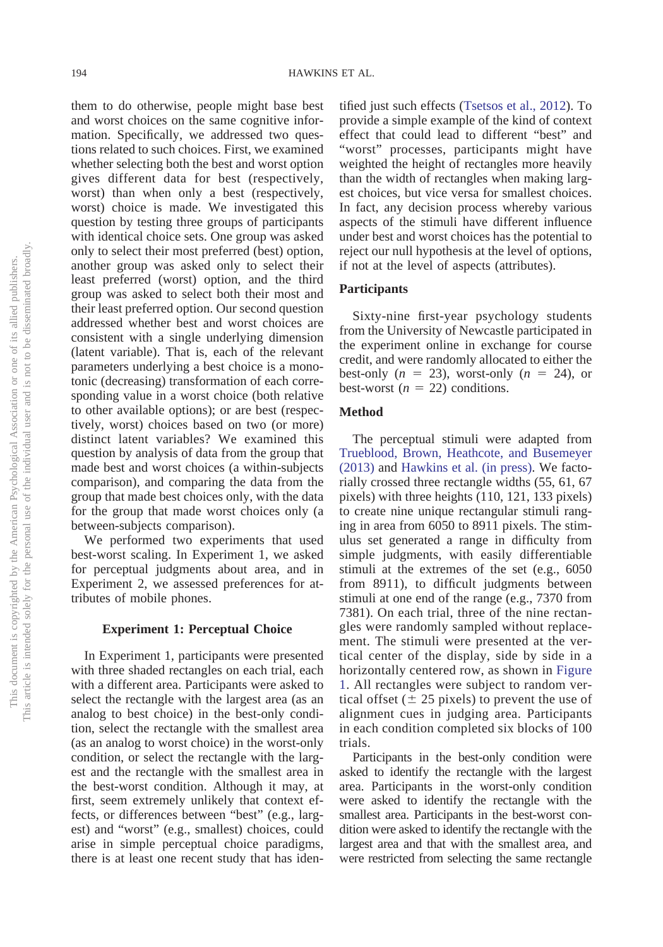them to do otherwise, people might base best and worst choices on the same cognitive information. Specifically, we addressed two questions related to such choices. First, we examined whether selecting both the best and worst option gives different data for best (respectively, worst) than when only a best (respectively, worst) choice is made. We investigated this question by testing three groups of participants with identical choice sets. One group was asked only to select their most preferred (best) option, another group was asked only to select their least preferred (worst) option, and the third group was asked to select both their most and their least preferred option. Our second question addressed whether best and worst choices are consistent with a single underlying dimension (latent variable). That is, each of the relevant parameters underlying a best choice is a monotonic (decreasing) transformation of each corresponding value in a worst choice (both relative to other available options); or are best (respectively, worst) choices based on two (or more) distinct latent variables? We examined this question by analysis of data from the group that made best and worst choices (a within-subjects comparison), and comparing the data from the group that made best choices only, with the data for the group that made worst choices only (a between-subjects comparison).

We performed two experiments that used best-worst scaling. In Experiment 1, we asked for perceptual judgments about area, and in Experiment 2, we assessed preferences for attributes of mobile phones.

## **Experiment 1: Perceptual Choice**

In Experiment 1, participants were presented with three shaded rectangles on each trial, each with a different area. Participants were asked to select the rectangle with the largest area (as an analog to best choice) in the best-only condition, select the rectangle with the smallest area (as an analog to worst choice) in the worst-only condition, or select the rectangle with the largest and the rectangle with the smallest area in the best-worst condition. Although it may, at first, seem extremely unlikely that context effects, or differences between "best" (e.g., largest) and "worst" (e.g., smallest) choices, could arise in simple perceptual choice paradigms, there is at least one recent study that has iden-

tified just such effects [\(Tsetsos et al., 2012\)](#page-22-2). To provide a simple example of the kind of context effect that could lead to different "best" and "worst" processes, participants might have weighted the height of rectangles more heavily than the width of rectangles when making largest choices, but vice versa for smallest choices. In fact, any decision process whereby various aspects of the stimuli have different influence under best and worst choices has the potential to reject our null hypothesis at the level of options, if not at the level of aspects (attributes).

#### **Participants**

Sixty-nine first-year psychology students from the University of Newcastle participated in the experiment online in exchange for course credit, and were randomly allocated to either the best-only  $(n = 23)$ , worst-only  $(n = 24)$ , or best-worst  $(n = 22)$  conditions.

# **Method**

The perceptual stimuli were adapted from [Trueblood, Brown, Heathcote, and Busemeyer](#page-22-5) [\(2013\)](#page-22-5) and [Hawkins et al. \(in press\).](#page-21-8) We factorially crossed three rectangle widths (55, 61, 67 pixels) with three heights (110, 121, 133 pixels) to create nine unique rectangular stimuli ranging in area from 6050 to 8911 pixels. The stimulus set generated a range in difficulty from simple judgments, with easily differentiable stimuli at the extremes of the set (e.g., 6050 from 8911), to difficult judgments between stimuli at one end of the range (e.g., 7370 from 7381). On each trial, three of the nine rectangles were randomly sampled without replacement. The stimuli were presented at the vertical center of the display, side by side in a horizontally centered row, as shown in [Figure](#page-3-0) [1.](#page-3-0) All rectangles were subject to random vertical offset ( $\pm$  25 pixels) to prevent the use of alignment cues in judging area. Participants in each condition completed six blocks of 100 trials.

Participants in the best-only condition were asked to identify the rectangle with the largest area. Participants in the worst-only condition were asked to identify the rectangle with the smallest area. Participants in the best-worst condition were asked to identify the rectangle with the largest area and that with the smallest area, and were restricted from selecting the same rectangle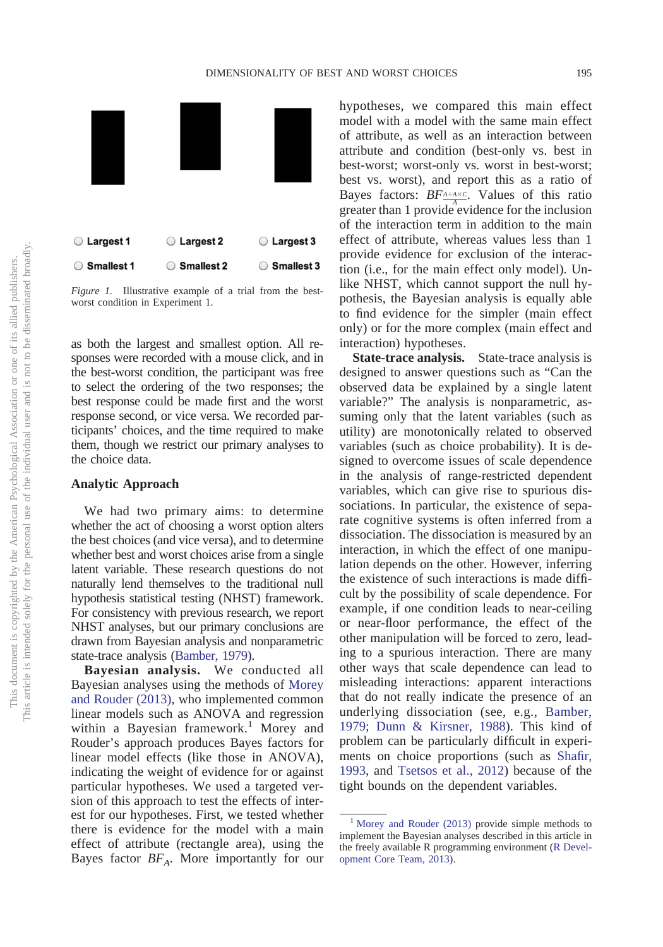

<span id="page-3-0"></span>*Figure 1.* Illustrative example of a trial from the bestworst condition in Experiment 1.

as both the largest and smallest option. All responses were recorded with a mouse click, and in the best-worst condition, the participant was free to select the ordering of the two responses; the best response could be made first and the worst response second, or vice versa. We recorded participants' choices, and the time required to make them, though we restrict our primary analyses to the choice data.

# **Analytic Approach**

We had two primary aims: to determine whether the act of choosing a worst option alters the best choices (and vice versa), and to determine whether best and worst choices arise from a single latent variable. These research questions do not naturally lend themselves to the traditional null hypothesis statistical testing (NHST) framework. For consistency with previous research, we report NHST analyses, but our primary conclusions are drawn from Bayesian analysis and nonparametric state-trace analysis [\(Bamber, 1979\)](#page-20-2).

**Bayesian analysis.** We conducted all Bayesian analyses using the methods of [Morey](#page-21-9) [and Rouder \(2013\),](#page-21-9) who implemented common linear models such as ANOVA and regression within a Bayesian framework.<sup>1</sup> Morey and Rouder's approach produces Bayes factors for linear model effects (like those in ANOVA), indicating the weight of evidence for or against particular hypotheses. We used a targeted version of this approach to test the effects of interest for our hypotheses. First, we tested whether there is evidence for the model with a main effect of attribute (rectangle area), using the Bayes factor *BFA*. More importantly for our

hypotheses, we compared this main effect model with a model with the same main effect of attribute, as well as an interaction between attribute and condition (best-only vs. best in best-worst; worst-only vs. worst in best-worst; best vs. worst), and report this as a ratio of Bayes factors:  $BF_{\frac{A+AXC}{A}}$ . Values of this ratio greater than 1 provide evidence for the inclusion of the interaction term in addition to the main effect of attribute, whereas values less than 1 provide evidence for exclusion of the interaction (i.e., for the main effect only model). Unlike NHST, which cannot support the null hypothesis, the Bayesian analysis is equally able to find evidence for the simpler (main effect only) or for the more complex (main effect and interaction) hypotheses.

**State-trace analysis.** State-trace analysis is designed to answer questions such as "Can the observed data be explained by a single latent variable?" The analysis is nonparametric, assuming only that the latent variables (such as utility) are monotonically related to observed variables (such as choice probability). It is designed to overcome issues of scale dependence in the analysis of range-restricted dependent variables, which can give rise to spurious dissociations. In particular, the existence of separate cognitive systems is often inferred from a dissociation. The dissociation is measured by an interaction, in which the effect of one manipulation depends on the other. However, inferring the existence of such interactions is made difficult by the possibility of scale dependence. For example, if one condition leads to near-ceiling or near-floor performance, the effect of the other manipulation will be forced to zero, leading to a spurious interaction. There are many other ways that scale dependence can lead to misleading interactions: apparent interactions that do not really indicate the presence of an underlying dissociation (see, e.g., [Bamber,](#page-20-2) [1979;](#page-20-2) [Dunn & Kirsner, 1988\)](#page-20-3). This kind of problem can be particularly difficult in experiments on choice proportions (such as [Shafir,](#page-22-1) [1993,](#page-22-1) and [Tsetsos et al., 2012\)](#page-22-2) because of the tight bounds on the dependent variables.

<sup>&</sup>lt;sup>1</sup> [Morey and Rouder \(2013\)](#page-21-9) provide simple methods to implement the Bayesian analyses described in this article in the freely available R programming environment [\(R Devel](#page-21-10)[opment Core Team, 2013\)](#page-21-10).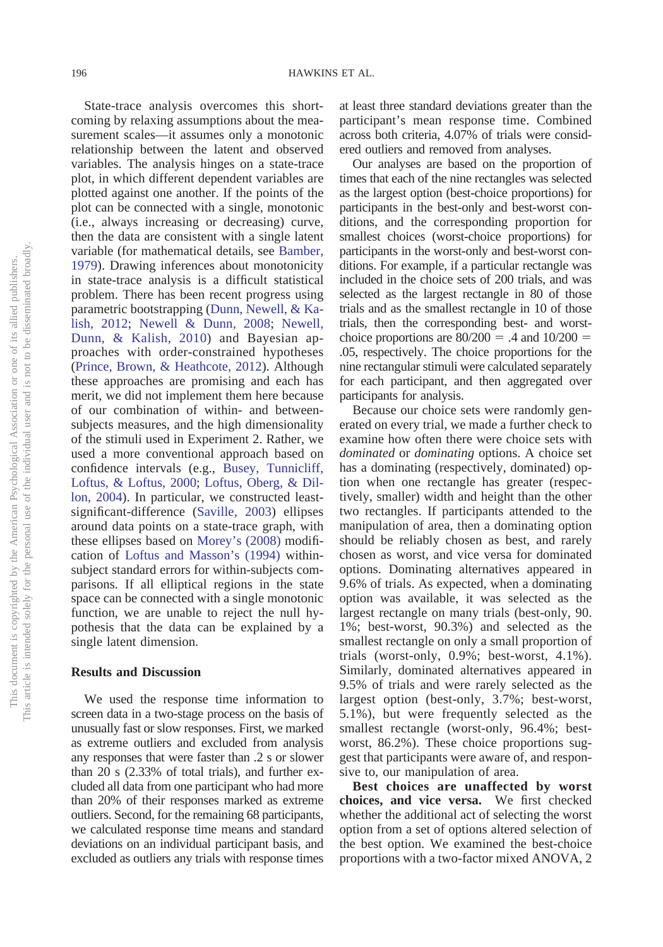State-trace analysis overcomes this shortcoming by relaxing assumptions about the measurement scales—it assumes only a monotonic relationship between the latent and observed variables. The analysis hinges on a state-trace plot, in which different dependent variables are plotted against one another. If the points of the plot can be connected with a single, monotonic (i.e., always increasing or decreasing) curve, then the data are consistent with a single latent variable (for mathematical details, see [Bamber,](#page-20-2) [1979\)](#page-20-2). Drawing inferences about monotonicity in state-trace analysis is a difficult statistical problem. There has been recent progress using parametric bootstrapping [\(Dunn, Newell, & Ka](#page-20-4)[lish, 2012;](#page-20-4) [Newell & Dunn, 2008;](#page-21-11) [Newell,](#page-21-12) [Dunn, & Kalish, 2010\)](#page-21-12) and Bayesian approaches with order-constrained hypotheses [\(Prince, Brown, & Heathcote, 2012\)](#page-21-13). Although these approaches are promising and each has merit, we did not implement them here because of our combination of within- and betweensubjects measures, and the high dimensionality of the stimuli used in Experiment 2. Rather, we used a more conventional approach based on confidence intervals (e.g., [Busey, Tunnicliff,](#page-20-5) [Loftus, & Loftus, 2000;](#page-20-5) [Loftus, Oberg, & Dil](#page-21-14)[lon, 2004\)](#page-21-14). In particular, we constructed leastsignificant-difference [\(Saville, 2003\)](#page-22-6) ellipses around data points on a state-trace graph, with these ellipses based on [Morey's \(2008\)](#page-21-15) modification of [Loftus and Masson's \(1994\)](#page-21-16) withinsubject standard errors for within-subjects comparisons. If all elliptical regions in the state space can be connected with a single monotonic function, we are unable to reject the null hypothesis that the data can be explained by a single latent dimension.

# **Results and Discussion**

We used the response time information to screen data in a two-stage process on the basis of unusually fast or slow responses. First, we marked as extreme outliers and excluded from analysis any responses that were faster than .2 s or slower than 20 s (2.33% of total trials), and further excluded all data from one participant who had more than 20% of their responses marked as extreme outliers. Second, for the remaining 68 participants, we calculated response time means and standard deviations on an individual participant basis, and excluded as outliers any trials with response times

at least three standard deviations greater than the participant's mean response time. Combined across both criteria, 4.07% of trials were considered outliers and removed from analyses.

Our analyses are based on the proportion of times that each of the nine rectangles was selected as the largest option (best-choice proportions) for participants in the best-only and best-worst conditions, and the corresponding proportion for smallest choices (worst-choice proportions) for participants in the worst-only and best-worst conditions. For example, if a particular rectangle was included in the choice sets of 200 trials, and was selected as the largest rectangle in 80 of those trials and as the smallest rectangle in 10 of those trials, then the corresponding best- and worstchoice proportions are  $80/200 = .4$  and  $10/200 =$ .05, respectively. The choice proportions for the nine rectangular stimuli were calculated separately for each participant, and then aggregated over participants for analysis.

Because our choice sets were randomly generated on every trial, we made a further check to examine how often there were choice sets with *dominated* or *dominating* options. A choice set has a dominating (respectively, dominated) option when one rectangle has greater (respectively, smaller) width and height than the other two rectangles. If participants attended to the manipulation of area, then a dominating option should be reliably chosen as best, and rarely chosen as worst, and vice versa for dominated options. Dominating alternatives appeared in 9.6% of trials. As expected, when a dominating option was available, it was selected as the largest rectangle on many trials (best-only, 90. 1%; best-worst, 90.3%) and selected as the smallest rectangle on only a small proportion of trials (worst-only, 0.9%; best-worst, 4.1%). Similarly, dominated alternatives appeared in 9.5% of trials and were rarely selected as the largest option (best-only, 3.7%; best-worst, 5.1%), but were frequently selected as the smallest rectangle (worst-only, 96.4%; bestworst, 86.2%). These choice proportions suggest that participants were aware of, and responsive to, our manipulation of area.

**Best choices are unaffected by worst choices, and vice versa.** We first checked whether the additional act of selecting the worst option from a set of options altered selection of the best option. We examined the best-choice proportions with a two-factor mixed ANOVA, 2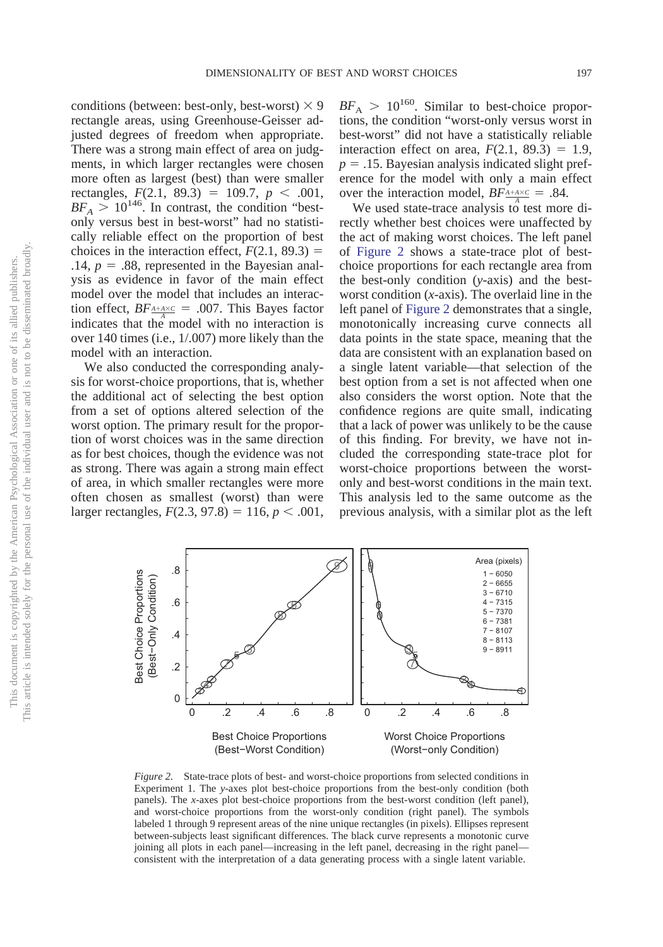conditions (between: best-only, best-worst)  $\times$  9 rectangle areas, using Greenhouse-Geisser adjusted degrees of freedom when appropriate. There was a strong main effect of area on judgments, in which larger rectangles were chosen more often as largest (best) than were smaller rectangles,  $F(2.1, 89.3) = 109.7, p < .001$ ,  $BF_A > 10^{146}$ . In contrast, the condition "bestonly versus best in best-worst" had no statistically reliable effect on the proportion of best choices in the interaction effect,  $F(2.1, 89.3) =$  $.14, p = .88$ , represented in the Bayesian analysis as evidence in favor of the main effect model over the model that includes an interaction effect,  $BF_{\frac{A+A\times C}{A}} = .007$ . This Bayes factor indicates that the model with no interaction is over 140 times (i.e., 1/.007) more likely than the model with an interaction.

We also conducted the corresponding analysis for worst-choice proportions, that is, whether the additional act of selecting the best option from a set of options altered selection of the worst option. The primary result for the proportion of worst choices was in the same direction as for best choices, though the evidence was not as strong. There was again a strong main effect of area, in which smaller rectangles were more often chosen as smallest (worst) than were larger rectangles,  $F(2.3, 97.8) = 116$ ,  $p < .001$ ,

 $BF_A > 10^{160}$ . Similar to best-choice proportions, the condition "worst-only versus worst in best-worst" did not have a statistically reliable interaction effect on area,  $F(2.1, 89.3) = 1.9$ ,  $p = 0.15$ . Bayesian analysis indicated slight preference for the model with only a main effect over the interaction model,  $BF_{\frac{A+AXC}{A}} = .84$ .

We used state-trace analysis to test more directly whether best choices were unaffected by the act of making worst choices. The left panel of [Figure 2](#page-5-0) shows a state-trace plot of bestchoice proportions for each rectangle area from the best-only condition (*y*-axis) and the bestworst condition (*x*-axis). The overlaid line in the left panel of [Figure 2](#page-5-0) demonstrates that a single, monotonically increasing curve connects all data points in the state space, meaning that the data are consistent with an explanation based on a single latent variable—that selection of the best option from a set is not affected when one also considers the worst option. Note that the confidence regions are quite small, indicating that a lack of power was unlikely to be the cause of this finding. For brevity, we have not included the corresponding state-trace plot for worst-choice proportions between the worstonly and best-worst conditions in the main text. This analysis led to the same outcome as the previous analysis, with a similar plot as the left



<span id="page-5-0"></span>*Figure 2.* State-trace plots of best- and worst-choice proportions from selected conditions in Experiment 1. The *y*-axes plot best-choice proportions from the best-only condition (both panels). The *x*-axes plot best-choice proportions from the best-worst condition (left panel), and worst-choice proportions from the worst-only condition (right panel). The symbols labeled 1 through 9 represent areas of the nine unique rectangles (in pixels). Ellipses represent between-subjects least significant differences. The black curve represents a monotonic curve joining all plots in each panel—increasing in the left panel, decreasing in the right panel consistent with the interpretation of a data generating process with a single latent variable.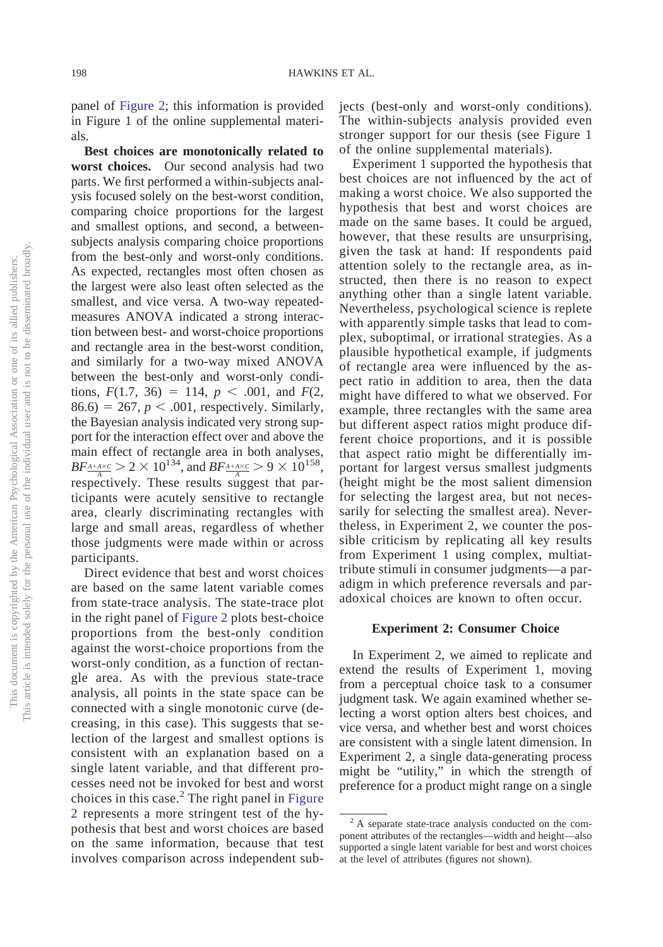panel of [Figure 2;](#page-5-0) this information is provided in Figure 1 of the online supplemental materials.

**Best choices are monotonically related to worst choices.** Our second analysis had two parts. We first performed a within-subjects analysis focused solely on the best-worst condition, comparing choice proportions for the largest and smallest options, and second, a betweensubjects analysis comparing choice proportions from the best-only and worst-only conditions. As expected, rectangles most often chosen as the largest were also least often selected as the smallest, and vice versa. A two-way repeatedmeasures ANOVA indicated a strong interaction between best- and worst-choice proportions and rectangle area in the best-worst condition, and similarly for a two-way mixed ANOVA between the best-only and worst-only conditions,  $F(1.7, 36) = 114$ ,  $p < .001$ , and  $F(2, 4)$  $86.6$ ) = 267,  $p < .001$ , respectively. Similarly, the Bayesian analysis indicated very strong support for the interaction effect over and above the main effect of rectangle area in both analyses,  $BF_{\frac{A+A\times C}{A}} > 2 \times 10^{134}$ , and  $BF_{\frac{A+A\times C}{A}} > 9 \times 10^{158}$ , respectively. These results suggest that participants were acutely sensitive to rectangle area, clearly discriminating rectangles with large and small areas, regardless of whether those judgments were made within or across participants.

Direct evidence that best and worst choices are based on the same latent variable comes from state-trace analysis. The state-trace plot in the right panel of [Figure 2](#page-5-0) plots best-choice proportions from the best-only condition against the worst-choice proportions from the worst-only condition, as a function of rectangle area. As with the previous state-trace analysis, all points in the state space can be connected with a single monotonic curve (decreasing, in this case). This suggests that selection of the largest and smallest options is consistent with an explanation based on a single latent variable, and that different processes need not be invoked for best and worst choices in this case. $<sup>2</sup>$  The right panel in [Figure](#page-5-0)</sup> [2](#page-5-0) represents a more stringent test of the hypothesis that best and worst choices are based on the same information, because that test involves comparison across independent subjects (best-only and worst-only conditions). The within-subjects analysis provided even stronger support for our thesis (see Figure 1 of the online supplemental materials).

Experiment 1 supported the hypothesis that best choices are not influenced by the act of making a worst choice. We also supported the hypothesis that best and worst choices are made on the same bases. It could be argued, however, that these results are unsurprising, given the task at hand: If respondents paid attention solely to the rectangle area, as instructed, then there is no reason to expect anything other than a single latent variable. Nevertheless, psychological science is replete with apparently simple tasks that lead to complex, suboptimal, or irrational strategies. As a plausible hypothetical example, if judgments of rectangle area were influenced by the aspect ratio in addition to area, then the data might have differed to what we observed. For example, three rectangles with the same area but different aspect ratios might produce different choice proportions, and it is possible that aspect ratio might be differentially important for largest versus smallest judgments (height might be the most salient dimension for selecting the largest area, but not necessarily for selecting the smallest area). Nevertheless, in Experiment 2, we counter the possible criticism by replicating all key results from Experiment 1 using complex, multiattribute stimuli in consumer judgments—a paradigm in which preference reversals and paradoxical choices are known to often occur.

#### **Experiment 2: Consumer Choice**

In Experiment 2, we aimed to replicate and extend the results of Experiment 1, moving from a perceptual choice task to a consumer judgment task. We again examined whether selecting a worst option alters best choices, and vice versa, and whether best and worst choices are consistent with a single latent dimension. In Experiment 2, a single data-generating process might be "utility," in which the strength of preference for a product might range on a single

<sup>2</sup> A separate state-trace analysis conducted on the component attributes of the rectangles—width and height—also supported a single latent variable for best and worst choices at the level of attributes (figures not shown).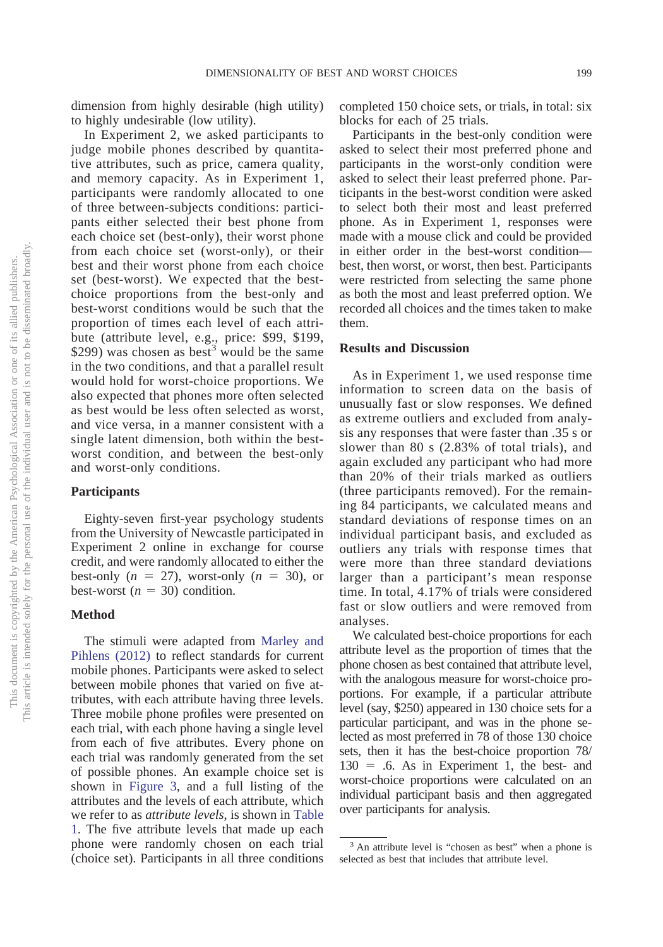dimension from highly desirable (high utility) to highly undesirable (low utility).

In Experiment 2, we asked participants to judge mobile phones described by quantitative attributes, such as price, camera quality, and memory capacity. As in Experiment 1, participants were randomly allocated to one of three between-subjects conditions: participants either selected their best phone from each choice set (best-only), their worst phone from each choice set (worst-only), or their best and their worst phone from each choice set (best-worst). We expected that the bestchoice proportions from the best-only and best-worst conditions would be such that the proportion of times each level of each attribute (attribute level, e.g., price: \$99, \$199, \$299) was chosen as best<sup>3</sup> would be the same in the two conditions, and that a parallel result would hold for worst-choice proportions. We also expected that phones more often selected as best would be less often selected as worst, and vice versa, in a manner consistent with a single latent dimension, both within the bestworst condition, and between the best-only and worst-only conditions.

#### **Participants**

Eighty-seven first-year psychology students from the University of Newcastle participated in Experiment 2 online in exchange for course credit, and were randomly allocated to either the best-only  $(n = 27)$ , worst-only  $(n = 30)$ , or best-worst  $(n = 30)$  condition.

## **Method**

The stimuli were adapted from [Marley and](#page-21-0) [Pihlens \(2012\)](#page-21-0) to reflect standards for current mobile phones. Participants were asked to select between mobile phones that varied on five attributes, with each attribute having three levels. Three mobile phone profiles were presented on each trial, with each phone having a single level from each of five attributes. Every phone on each trial was randomly generated from the set of possible phones. An example choice set is shown in [Figure 3,](#page-8-0) and a full listing of the attributes and the levels of each attribute, which we refer to as *attribute levels*, is shown in [Table](#page-8-1) [1.](#page-8-1) The five attribute levels that made up each phone were randomly chosen on each trial (choice set). Participants in all three conditions completed 150 choice sets, or trials, in total: six blocks for each of 25 trials.

Participants in the best-only condition were asked to select their most preferred phone and participants in the worst-only condition were asked to select their least preferred phone. Participants in the best-worst condition were asked to select both their most and least preferred phone. As in Experiment 1, responses were made with a mouse click and could be provided in either order in the best-worst condition best, then worst, or worst, then best. Participants were restricted from selecting the same phone as both the most and least preferred option. We recorded all choices and the times taken to make them.

# **Results and Discussion**

As in Experiment 1, we used response time information to screen data on the basis of unusually fast or slow responses. We defined as extreme outliers and excluded from analysis any responses that were faster than .35 s or slower than 80 s (2.83% of total trials), and again excluded any participant who had more than 20% of their trials marked as outliers (three participants removed). For the remaining 84 participants, we calculated means and standard deviations of response times on an individual participant basis, and excluded as outliers any trials with response times that were more than three standard deviations larger than a participant's mean response time. In total, 4.17% of trials were considered fast or slow outliers and were removed from analyses.

We calculated best-choice proportions for each attribute level as the proportion of times that the phone chosen as best contained that attribute level, with the analogous measure for worst-choice proportions. For example, if a particular attribute level (say, \$250) appeared in 130 choice sets for a particular participant, and was in the phone selected as most preferred in 78 of those 130 choice sets, then it has the best-choice proportion 78/  $130 = .6$ . As in Experiment 1, the best- and worst-choice proportions were calculated on an individual participant basis and then aggregated over participants for analysis.

<sup>&</sup>lt;sup>3</sup> An attribute level is "chosen as best" when a phone is selected as best that includes that attribute level.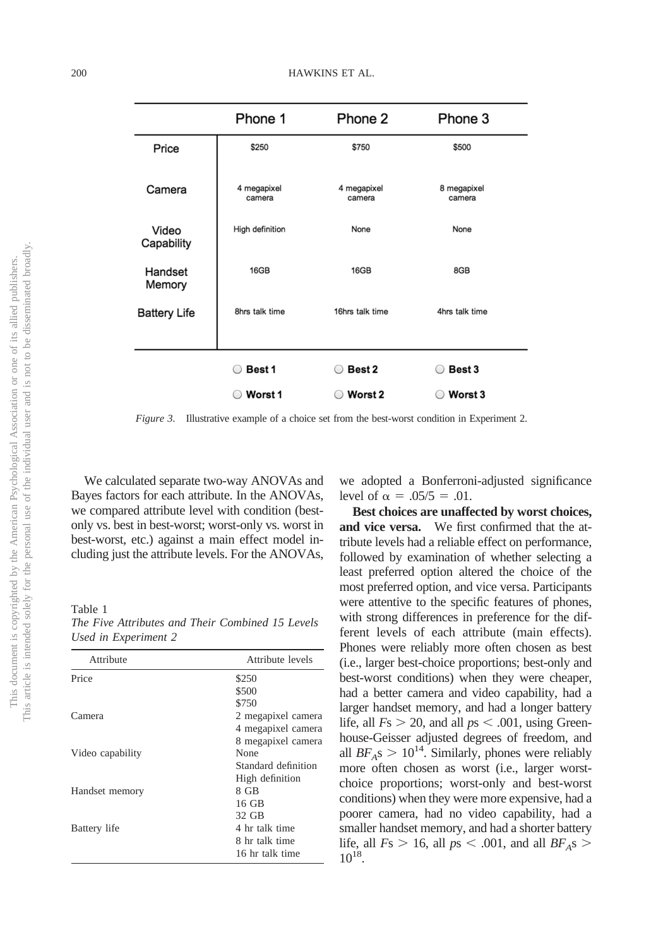|                     | Phone 1               | Phone 2               | Phone 3                                                |  |
|---------------------|-----------------------|-----------------------|--------------------------------------------------------|--|
| Price               | \$250                 | \$750                 | \$500                                                  |  |
| Camera              | 4 megapixel<br>camera | 4 megapixel<br>camera | 8 megapixel<br>camera<br>None<br>8GB<br>4hrs talk time |  |
| Video<br>Capability | High definition       | None                  |                                                        |  |
| Handset<br>Memory   | 16GB                  | 16GB                  |                                                        |  |
| <b>Battery Life</b> | 8hrs talk time        | 16hrs talk time       |                                                        |  |
|                     | Best 1                | Best 2                | Best 3                                                 |  |
|                     | Worst 1               | Worst 2               | Worst 3                                                |  |

<span id="page-8-0"></span>*Figure 3.* Illustrative example of a choice set from the best-worst condition in Experiment 2.

We calculated separate two-way ANOVAs and Bayes factors for each attribute. In the ANOVAs, we compared attribute level with condition (bestonly vs. best in best-worst; worst-only vs. worst in best-worst, etc.) against a main effect model including just the attribute levels. For the ANOVAs,

<span id="page-8-1"></span>Table 1

*The Five Attributes and Their Combined 15 Levels Used in Experiment 2*

| Attribute        | Attribute levels    |
|------------------|---------------------|
| Price            | \$250               |
|                  | \$500               |
|                  | \$750               |
| Camera           | 2 megapixel camera  |
|                  | 4 megapixel camera  |
|                  | 8 megapixel camera  |
| Video capability | None                |
|                  | Standard definition |
|                  | High definition     |
| Handset memory   | 8 GB                |
|                  | 16 GB               |
|                  | 32 GB               |
| Battery life     | 4 hr talk time      |
|                  | 8 hr talk time      |
|                  | 16 hr talk time     |

we adopted a Bonferroni-adjusted significance level of  $\alpha = .05/5 = .01$ .

**Best choices are unaffected by worst choices, and vice versa.** We first confirmed that the attribute levels had a reliable effect on performance, followed by examination of whether selecting a least preferred option altered the choice of the most preferred option, and vice versa. Participants were attentive to the specific features of phones, with strong differences in preference for the different levels of each attribute (main effects). Phones were reliably more often chosen as best (i.e., larger best-choice proportions; best-only and best-worst conditions) when they were cheaper, had a better camera and video capability, had a larger handset memory, and had a longer battery life, all  $Fs > 20$ , and all  $ps < .001$ , using Greenhouse-Geisser adjusted degrees of freedom, and all  $BF_A$ s >  $10^{14}$ . Similarly, phones were reliably more often chosen as worst (i.e., larger worstchoice proportions; worst-only and best-worst conditions) when they were more expensive, had a poorer camera, had no video capability, had a smaller handset memory, and had a shorter battery life, all  $Fs > 16$ , all  $ps < .001$ , and all  $BF<sub>A</sub>s >$  $10^{18}$ .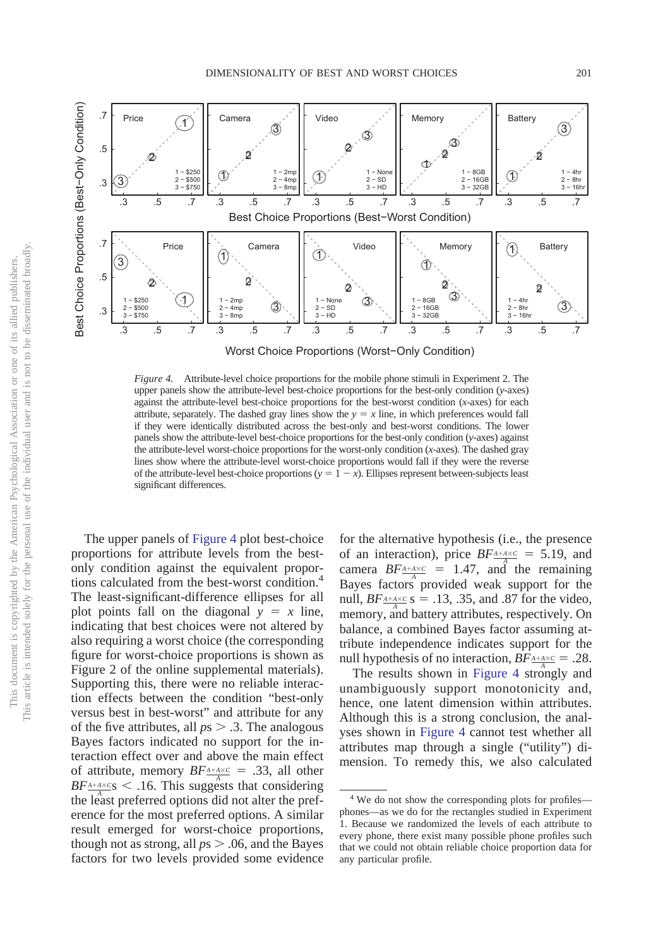

<span id="page-9-0"></span>*Figure 4.* Attribute-level choice proportions for the mobile phone stimuli in Experiment 2. The upper panels show the attribute-level best-choice proportions for the best-only condition (*y*-axes) against the attribute-level best-choice proportions for the best-worst condition (*x*-axes) for each attribute, separately. The dashed gray lines show the  $y = x$  line, in which preferences would fall if they were identically distributed across the best-only and best-worst conditions. The lower panels show the attribute-level best-choice proportions for the best-only condition (*y*-axes) against the attribute-level worst-choice proportions for the worst-only condition (*x*-axes). The dashed gray lines show where the attribute-level worst-choice proportions would fall if they were the reverse of the attribute-level best-choice proportions  $(y = 1 - x)$ . Ellipses represent between-subjects least significant differences.

The upper panels of [Figure 4](#page-9-0) plot best-choice proportions for attribute levels from the bestonly condition against the equivalent proportions calculated from the best-worst condition.4 The least-significant-difference ellipses for all plot points fall on the diagonal  $y = x$  line, indicating that best choices were not altered by also requiring a worst choice (the corresponding figure for worst-choice proportions is shown as Figure 2 of the online supplemental materials). Supporting this, there were no reliable interaction effects between the condition "best-only versus best in best-worst" and attribute for any of the five attributes, all  $ps > .3$ . The analogous Bayes factors indicated no support for the interaction effect over and above the main effect of attribute, memory  $BF_{\frac{A+A\times C}{A}} = .33$ , all other  $BF_{\frac{A+A\times C}{A}} S$  < .16. This suggests that considering the least preferred options did not alter the preference for the most preferred options. A similar result emerged for worst-choice proportions, though not as strong, all  $ps > .06$ , and the Bayes factors for two levels provided some evidence for the alternative hypothesis (i.e., the presence of an interaction), price  $BF_{\frac{A+AXC}{A}} = 5.19$ , and camera  $BF_{\frac{A+A\times C}{A}} = 1.47$ , and the remaining Bayes factors provided weak support for the null,  $BF_{\frac{A+AXC}{A}}$  s = .13, .35, and .87 for the video, memory, and battery attributes, respectively. On balance, a combined Bayes factor assuming attribute independence indicates support for the null hypothesis of no interaction,  $BF_{\frac{A+AXC}{A}} = .28$ .

The results shown in [Figure 4](#page-9-0) strongly and unambiguously support monotonicity and, hence, one latent dimension within attributes. Although this is a strong conclusion, the analyses shown in [Figure 4](#page-9-0) cannot test whether all attributes map through a single ("utility") dimension. To remedy this, we also calculated

<sup>&</sup>lt;sup>4</sup> We do not show the corresponding plots for profiles phones—as we do for the rectangles studied in Experiment 1. Because we randomized the levels of each attribute to every phone, there exist many possible phone profiles such that we could not obtain reliable choice proportion data for any particular profile.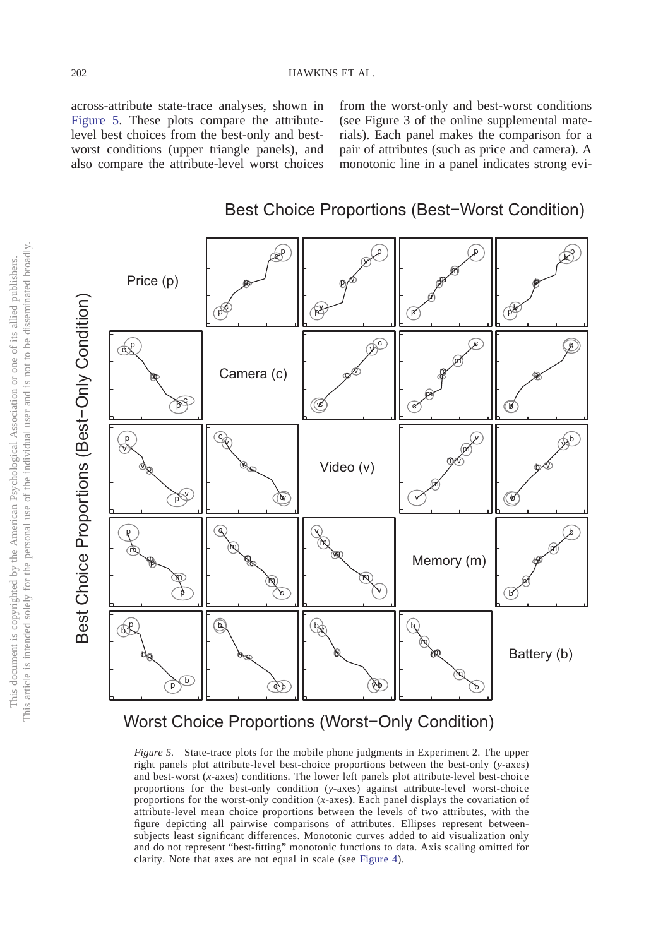across-attribute state-trace analyses, shown in [Figure 5.](#page-10-0) These plots compare the attributelevel best choices from the best-only and bestworst conditions (upper triangle panels), and also compare the attribute-level worst choices from the worst-only and best-worst conditions (see Figure 3 of the online supplemental materials). Each panel makes the comparison for a pair of attributes (such as price and camera). A monotonic line in a panel indicates strong evi-



 $\mathscr{C}$   $\mathscr{C}$ p p p b v m Price (p) m v b p c p p p m Best Choice Proportions (Best-Only Condition) Best Choice Proportions (Best−Only Condition)  $\mathcal{P}$ p v 鸹 p c c p c c b v m Camera (c) v  $\mathbf \Omega$ p c b t, c c m 腎 c v c c b p c v b<br>P v v m  $^\mathrm{\textregistered}$ v Video (v) v v v b p c m pA v c v v b c p v b m m m m v  $\bf \bar{0}$  $^{\circ}$ Memory (m) m m b p **b** m m m m v p c ์ช d\$ b c b v b m v  $\mathfrak{g}$ Battery (b) b b b b p c m b b v  $\mathcal{P}$ p and the contract of  $\mathbb{R}^p$ 

# <span id="page-10-0"></span>Worst Choice Proportions (Worst−Only Condition)

*Figure 5.* State-trace plots for the mobile phone judgments in Experiment 2. The upper right panels plot attribute-level best-choice proportions between the best-only (*y*-axes) and best-worst (*x*-axes) conditions. The lower left panels plot attribute-level best-choice proportions for the best-only condition (*y*-axes) against attribute-level worst-choice proportions for the worst-only condition (*x*-axes). Each panel displays the covariation of attribute-level mean choice proportions between the levels of two attributes, with the figure depicting all pairwise comparisons of attributes. Ellipses represent betweensubjects least significant differences. Monotonic curves added to aid visualization only and do not represent "best-fitting" monotonic functions to data. Axis scaling omitted for clarity. Note that axes are not equal in scale (see [Figure 4\)](#page-9-0).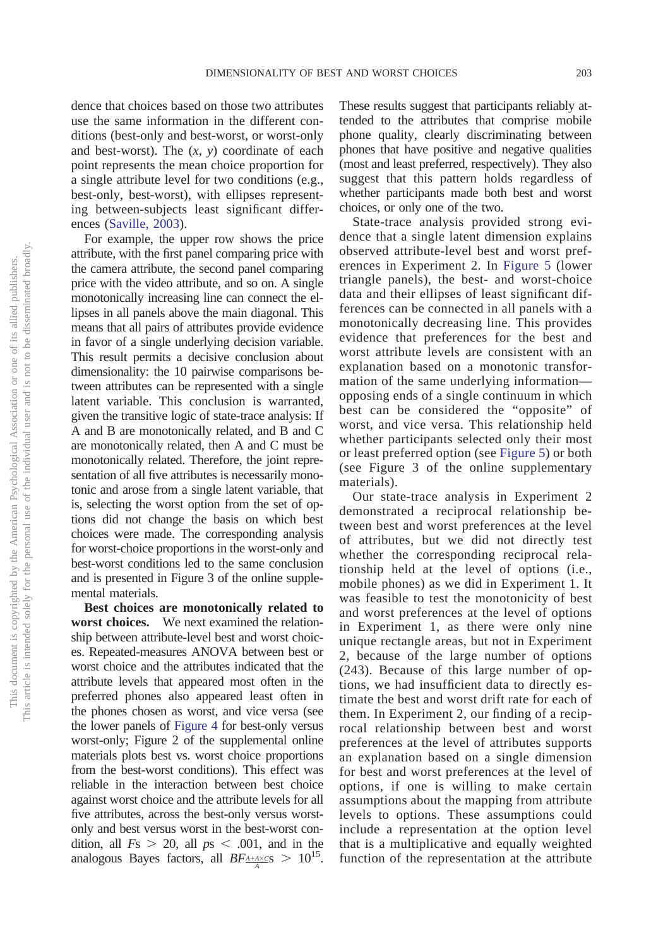dence that choices based on those two attributes use the same information in the different conditions (best-only and best-worst, or worst-only and best-worst). The (*x*, *y*) coordinate of each point represents the mean choice proportion for a single attribute level for two conditions (e.g., best-only, best-worst), with ellipses representing between-subjects least significant differences [\(Saville, 2003\)](#page-22-6).

For example, the upper row shows the price attribute, with the first panel comparing price with the camera attribute, the second panel comparing price with the video attribute, and so on. A single monotonically increasing line can connect the ellipses in all panels above the main diagonal. This means that all pairs of attributes provide evidence in favor of a single underlying decision variable. This result permits a decisive conclusion about dimensionality: the 10 pairwise comparisons between attributes can be represented with a single latent variable. This conclusion is warranted, given the transitive logic of state-trace analysis: If A and B are monotonically related, and B and C are monotonically related, then A and C must be monotonically related. Therefore, the joint representation of all five attributes is necessarily monotonic and arose from a single latent variable, that is, selecting the worst option from the set of options did not change the basis on which best choices were made. The corresponding analysis for worst-choice proportions in the worst-only and best-worst conditions led to the same conclusion and is presented in Figure 3 of the online supplemental materials.

**Best choices are monotonically related to worst choices.** We next examined the relationship between attribute-level best and worst choices. Repeated-measures ANOVA between best or worst choice and the attributes indicated that the attribute levels that appeared most often in the preferred phones also appeared least often in the phones chosen as worst, and vice versa (see the lower panels of [Figure 4](#page-9-0) for best-only versus worst-only; Figure 2 of the supplemental online materials plots best vs. worst choice proportions from the best-worst conditions). This effect was reliable in the interaction between best choice against worst choice and the attribute levels for all five attributes, across the best-only versus worstonly and best versus worst in the best-worst condition, all  $Fs > 20$ , all  $ps < .001$ , and in the analogous Bayes factors, all  $BF_{\frac{A+A\times C}{A}} > 10^{15}$ . These results suggest that participants reliably attended to the attributes that comprise mobile phone quality, clearly discriminating between phones that have positive and negative qualities (most and least preferred, respectively). They also suggest that this pattern holds regardless of whether participants made both best and worst choices, or only one of the two.

State-trace analysis provided strong evidence that a single latent dimension explains observed attribute-level best and worst preferences in Experiment 2. In [Figure 5](#page-10-0) (lower triangle panels), the best- and worst-choice data and their ellipses of least significant differences can be connected in all panels with a monotonically decreasing line. This provides evidence that preferences for the best and worst attribute levels are consistent with an explanation based on a monotonic transformation of the same underlying information opposing ends of a single continuum in which best can be considered the "opposite" of worst, and vice versa. This relationship held whether participants selected only their most or least preferred option (see [Figure 5\)](#page-10-0) or both (see Figure 3 of the online supplementary materials).

Our state-trace analysis in Experiment 2 demonstrated a reciprocal relationship between best and worst preferences at the level of attributes, but we did not directly test whether the corresponding reciprocal relationship held at the level of options (i.e., mobile phones) as we did in Experiment 1. It was feasible to test the monotonicity of best and worst preferences at the level of options in Experiment 1, as there were only nine unique rectangle areas, but not in Experiment 2, because of the large number of options (243). Because of this large number of options, we had insufficient data to directly estimate the best and worst drift rate for each of them. In Experiment 2, our finding of a reciprocal relationship between best and worst preferences at the level of attributes supports an explanation based on a single dimension for best and worst preferences at the level of options, if one is willing to make certain assumptions about the mapping from attribute levels to options. These assumptions could include a representation at the option level that is a multiplicative and equally weighted function of the representation at the attribute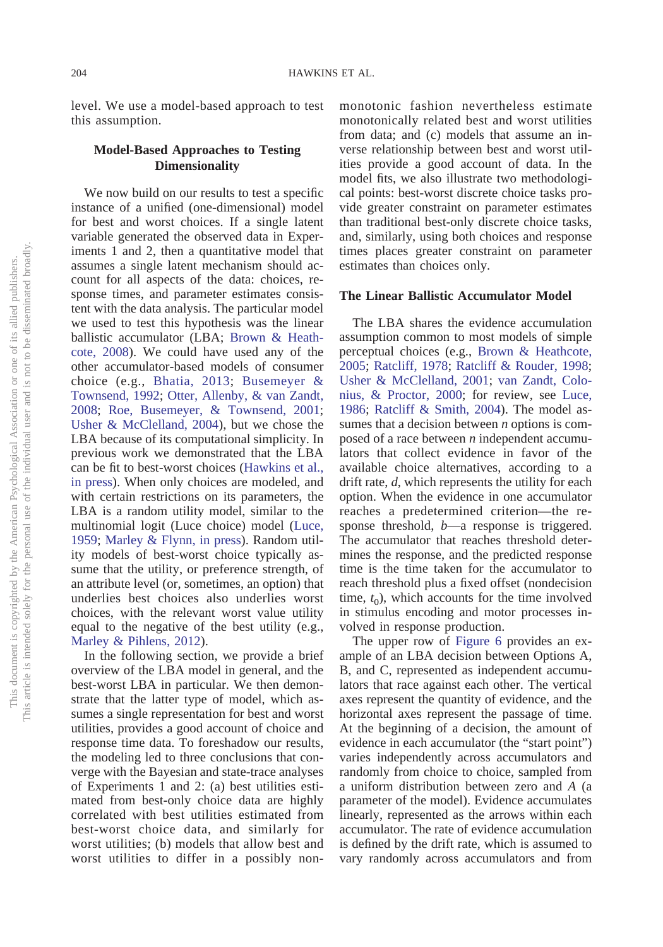level. We use a model-based approach to test this assumption.

# **Model-Based Approaches to Testing Dimensionality**

We now build on our results to test a specific instance of a unified (one-dimensional) model for best and worst choices. If a single latent variable generated the observed data in Experiments 1 and 2, then a quantitative model that assumes a single latent mechanism should account for all aspects of the data: choices, response times, and parameter estimates consistent with the data analysis. The particular model we used to test this hypothesis was the linear ballistic accumulator (LBA; [Brown & Heath](#page-20-6)[cote, 2008\)](#page-20-6). We could have used any of the other accumulator-based models of consumer choice (e.g., [Bhatia, 2013;](#page-20-7) [Busemeyer &](#page-20-8) [Townsend, 1992;](#page-20-8) [Otter, Allenby, & van Zandt,](#page-21-17) [2008;](#page-21-17) [Roe, Busemeyer, & Townsend, 2001;](#page-21-18) [Usher & McClelland, 2004\)](#page-22-7), but we chose the LBA because of its computational simplicity. In previous work we demonstrated that the LBA can be fit to best-worst choices [\(Hawkins et al.,](#page-21-8) [in press\)](#page-21-8). When only choices are modeled, and with certain restrictions on its parameters, the LBA is a random utility model, similar to the multinomial logit (Luce choice) model [\(Luce,](#page-21-19) [1959;](#page-21-19) [Marley & Flynn, in press\)](#page-21-20). Random utility models of best-worst choice typically assume that the utility, or preference strength, of an attribute level (or, sometimes, an option) that underlies best choices also underlies worst choices, with the relevant worst value utility equal to the negative of the best utility (e.g., [Marley & Pihlens, 2012\)](#page-21-0).

In the following section, we provide a brief overview of the LBA model in general, and the best-worst LBA in particular. We then demonstrate that the latter type of model, which assumes a single representation for best and worst utilities, provides a good account of choice and response time data. To foreshadow our results, the modeling led to three conclusions that converge with the Bayesian and state-trace analyses of Experiments 1 and 2: (a) best utilities estimated from best-only choice data are highly correlated with best utilities estimated from best-worst choice data, and similarly for worst utilities; (b) models that allow best and worst utilities to differ in a possibly non-

monotonic fashion nevertheless estimate monotonically related best and worst utilities from data; and (c) models that assume an inverse relationship between best and worst utilities provide a good account of data. In the model fits, we also illustrate two methodological points: best-worst discrete choice tasks provide greater constraint on parameter estimates than traditional best-only discrete choice tasks, and, similarly, using both choices and response times places greater constraint on parameter estimates than choices only.

## **The Linear Ballistic Accumulator Model**

The LBA shares the evidence accumulation assumption common to most models of simple perceptual choices (e.g., [Brown & Heathcote,](#page-20-9) [2005;](#page-20-9) [Ratcliff, 1978;](#page-21-21) [Ratcliff & Rouder, 1998;](#page-21-22) [Usher & McClelland, 2001;](#page-22-8) [van Zandt, Colo](#page-22-9)[nius, & Proctor, 2000;](#page-22-9) for review, see [Luce,](#page-21-23) [1986;](#page-21-23) [Ratcliff & Smith, 2004\)](#page-21-24). The model assumes that a decision between *n* options is composed of a race between *n* independent accumulators that collect evidence in favor of the available choice alternatives, according to a drift rate, *d*, which represents the utility for each option. When the evidence in one accumulator reaches a predetermined criterion—the response threshold, *b*—a response is triggered. The accumulator that reaches threshold determines the response, and the predicted response time is the time taken for the accumulator to reach threshold plus a fixed offset (nondecision time,  $t_0$ ), which accounts for the time involved in stimulus encoding and motor processes involved in response production.

The upper row of [Figure 6](#page-13-0) provides an example of an LBA decision between Options A, B, and C, represented as independent accumulators that race against each other. The vertical axes represent the quantity of evidence, and the horizontal axes represent the passage of time. At the beginning of a decision, the amount of evidence in each accumulator (the "start point") varies independently across accumulators and randomly from choice to choice, sampled from a uniform distribution between zero and *A* (a parameter of the model). Evidence accumulates linearly, represented as the arrows within each accumulator. The rate of evidence accumulation is defined by the drift rate, which is assumed to vary randomly across accumulators and from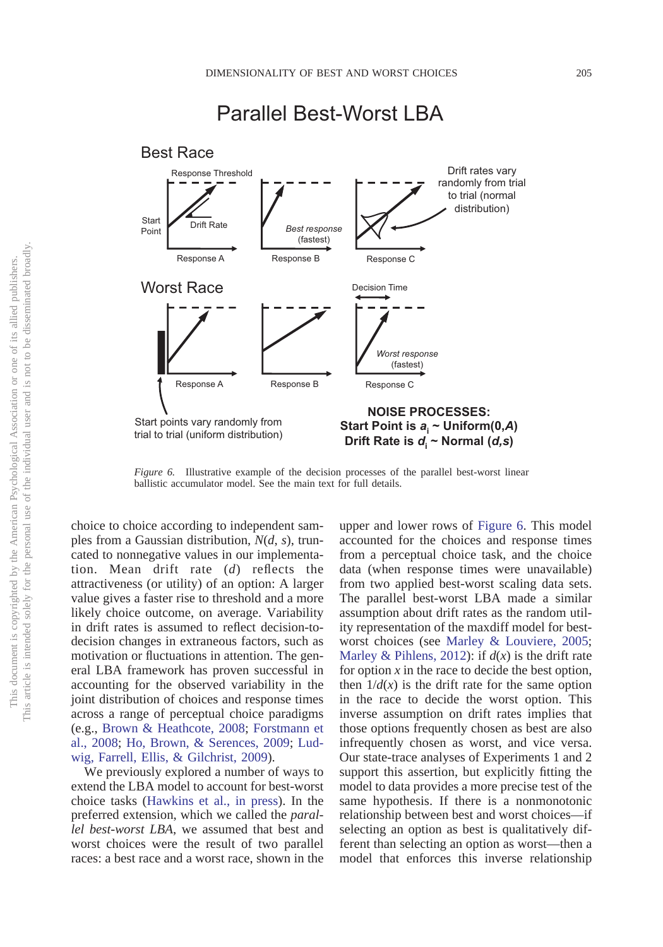

Parallel Best-Worst LBA

<span id="page-13-0"></span>*Figure 6.* Illustrative example of the decision processes of the parallel best-worst linear ballistic accumulator model. See the main text for full details.

choice to choice according to independent samples from a Gaussian distribution, *N*(*d*, *s*), truncated to nonnegative values in our implementation. Mean drift rate (*d*) reflects the attractiveness (or utility) of an option: A larger value gives a faster rise to threshold and a more likely choice outcome, on average. Variability in drift rates is assumed to reflect decision-todecision changes in extraneous factors, such as motivation or fluctuations in attention. The general LBA framework has proven successful in accounting for the observed variability in the joint distribution of choices and response times across a range of perceptual choice paradigms (e.g., [Brown & Heathcote, 2008;](#page-20-6) [Forstmann et](#page-20-10) [al., 2008;](#page-20-10) [Ho, Brown, & Serences, 2009;](#page-21-25) [Lud](#page-21-26)[wig, Farrell, Ellis, & Gilchrist, 2009\)](#page-21-26).

We previously explored a number of ways to extend the LBA model to account for best-worst choice tasks [\(Hawkins et al., in press\)](#page-21-8). In the preferred extension, which we called the *parallel best-worst LBA*, we assumed that best and worst choices were the result of two parallel races: a best race and a worst race, shown in the upper and lower rows of [Figure 6.](#page-13-0) This model accounted for the choices and response times from a perceptual choice task, and the choice data (when response times were unavailable) from two applied best-worst scaling data sets. The parallel best-worst LBA made a similar assumption about drift rates as the random utility representation of the maxdiff model for bestworst choices (see [Marley & Louviere, 2005;](#page-21-27) [Marley & Pihlens, 2012\)](#page-21-0): if  $d(x)$  is the drift rate for option *x* in the race to decide the best option, then  $1/d(x)$  is the drift rate for the same option in the race to decide the worst option. This inverse assumption on drift rates implies that those options frequently chosen as best are also infrequently chosen as worst, and vice versa. Our state-trace analyses of Experiments 1 and 2 support this assertion, but explicitly fitting the model to data provides a more precise test of the same hypothesis. If there is a nonmonotonic relationship between best and worst choices—if selecting an option as best is qualitatively different than selecting an option as worst—then a model that enforces this inverse relationship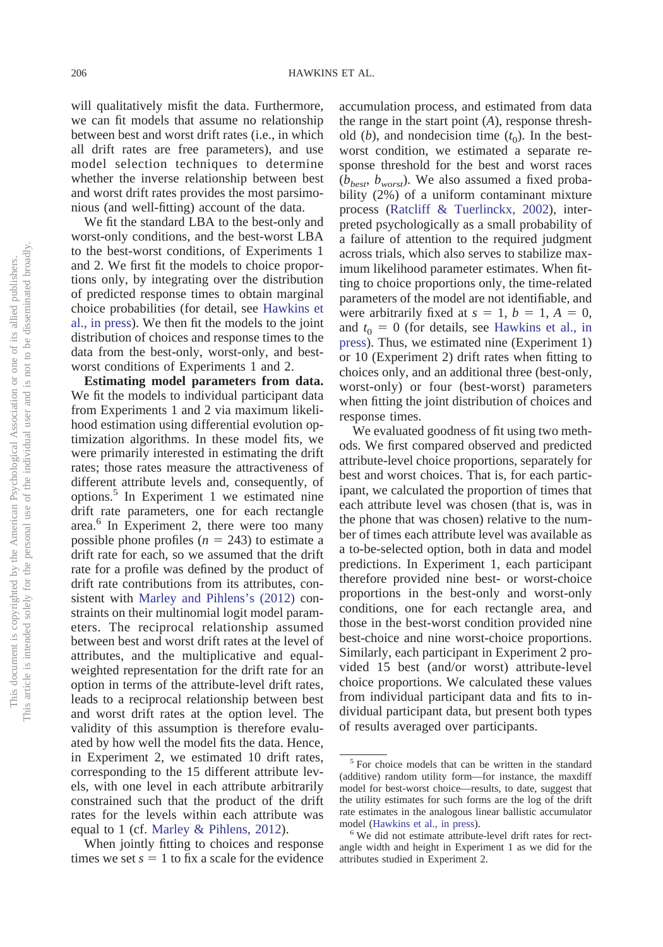will qualitatively misfit the data. Furthermore, we can fit models that assume no relationship between best and worst drift rates (i.e., in which all drift rates are free parameters), and use model selection techniques to determine whether the inverse relationship between best and worst drift rates provides the most parsimonious (and well-fitting) account of the data.

We fit the standard LBA to the best-only and worst-only conditions, and the best-worst LBA to the best-worst conditions, of Experiments 1 and 2. We first fit the models to choice proportions only, by integrating over the distribution of predicted response times to obtain marginal choice probabilities (for detail, see [Hawkins et](#page-21-8) [al., in press\)](#page-21-8). We then fit the models to the joint distribution of choices and response times to the data from the best-only, worst-only, and bestworst conditions of Experiments 1 and 2.

**Estimating model parameters from data.** We fit the models to individual participant data from Experiments 1 and 2 via maximum likelihood estimation using differential evolution optimization algorithms. In these model fits, we were primarily interested in estimating the drift rates; those rates measure the attractiveness of different attribute levels and, consequently, of options.5 In Experiment 1 we estimated nine drift rate parameters, one for each rectangle area.<sup>6</sup> In Experiment 2, there were too many possible phone profiles  $(n = 243)$  to estimate a drift rate for each, so we assumed that the drift rate for a profile was defined by the product of drift rate contributions from its attributes, consistent with [Marley and Pihlens's \(2012\)](#page-21-0) constraints on their multinomial logit model parameters. The reciprocal relationship assumed between best and worst drift rates at the level of attributes, and the multiplicative and equalweighted representation for the drift rate for an option in terms of the attribute-level drift rates, leads to a reciprocal relationship between best and worst drift rates at the option level. The validity of this assumption is therefore evaluated by how well the model fits the data. Hence, in Experiment 2, we estimated 10 drift rates, corresponding to the 15 different attribute levels, with one level in each attribute arbitrarily constrained such that the product of the drift rates for the levels within each attribute was equal to 1 (cf. [Marley & Pihlens, 2012\)](#page-21-0).

When jointly fitting to choices and response times we set  $s = 1$  to fix a scale for the evidence accumulation process, and estimated from data the range in the start point (*A*), response threshold (*b*), and nondecision time  $(t_0)$ . In the bestworst condition, we estimated a separate response threshold for the best and worst races  $(b_{best}, b_{worst})$ . We also assumed a fixed probability (2%) of a uniform contaminant mixture process [\(Ratcliff & Tuerlinckx, 2002\)](#page-21-28), interpreted psychologically as a small probability of a failure of attention to the required judgment across trials, which also serves to stabilize maximum likelihood parameter estimates. When fitting to choice proportions only, the time-related parameters of the model are not identifiable, and were arbitrarily fixed at  $s = 1$ ,  $b = 1$ ,  $A = 0$ , and  $t_0 = 0$  (for details, see [Hawkins et al., in](#page-21-8) [press\)](#page-21-8). Thus, we estimated nine (Experiment 1) or 10 (Experiment 2) drift rates when fitting to choices only, and an additional three (best-only, worst-only) or four (best-worst) parameters when fitting the joint distribution of choices and response times.

We evaluated goodness of fit using two methods. We first compared observed and predicted attribute-level choice proportions, separately for best and worst choices. That is, for each participant, we calculated the proportion of times that each attribute level was chosen (that is, was in the phone that was chosen) relative to the number of times each attribute level was available as a to-be-selected option, both in data and model predictions. In Experiment 1, each participant therefore provided nine best- or worst-choice proportions in the best-only and worst-only conditions, one for each rectangle area, and those in the best-worst condition provided nine best-choice and nine worst-choice proportions. Similarly, each participant in Experiment 2 provided 15 best (and/or worst) attribute-level choice proportions. We calculated these values from individual participant data and fits to individual participant data, but present both types of results averaged over participants.

<sup>5</sup> For choice models that can be written in the standard (additive) random utility form—for instance, the maxdiff model for best-worst choice—results, to date, suggest that the utility estimates for such forms are the log of the drift rate estimates in the analogous linear ballistic accumulator model [\(Hawkins et al., in press\)](#page-21-8).<br><sup>6</sup> We did not estimate attribute-level drift rates for rect-

angle width and height in Experiment 1 as we did for the attributes studied in Experiment 2.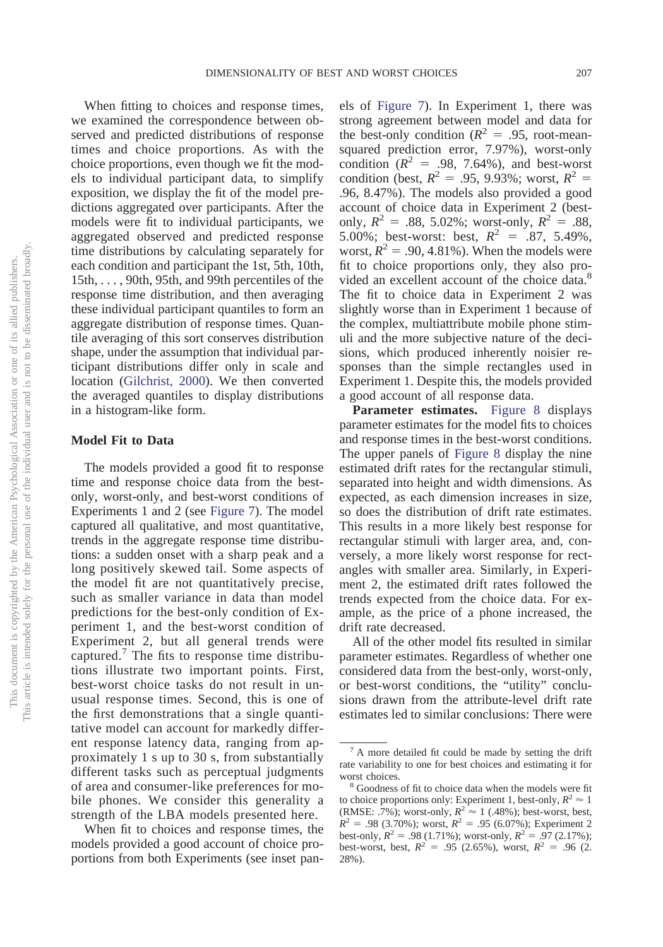When fitting to choices and response times, we examined the correspondence between observed and predicted distributions of response times and choice proportions. As with the choice proportions, even though we fit the models to individual participant data, to simplify exposition, we display the fit of the model predictions aggregated over participants. After the models were fit to individual participants, we aggregated observed and predicted response time distributions by calculating separately for each condition and participant the 1st, 5th, 10th, 15th,..., 90th, 95th, and 99th percentiles of the response time distribution, and then averaging these individual participant quantiles to form an aggregate distribution of response times. Quantile averaging of this sort conserves distribution shape, under the assumption that individual participant distributions differ only in scale and location [\(Gilchrist, 2000\)](#page-21-29). We then converted the averaged quantiles to display distributions in a histogram-like form.

# **Model Fit to Data**

The models provided a good fit to response time and response choice data from the bestonly, worst-only, and best-worst conditions of Experiments 1 and 2 (see [Figure 7\)](#page-16-0). The model captured all qualitative, and most quantitative, trends in the aggregate response time distributions: a sudden onset with a sharp peak and a long positively skewed tail. Some aspects of the model fit are not quantitatively precise, such as smaller variance in data than model predictions for the best-only condition of Experiment 1, and the best-worst condition of Experiment 2, but all general trends were captured.<sup>7</sup> The fits to response time distributions illustrate two important points. First, best-worst choice tasks do not result in unusual response times. Second, this is one of the first demonstrations that a single quantitative model can account for markedly different response latency data, ranging from approximately 1 s up to 30 s, from substantially different tasks such as perceptual judgments of area and consumer-like preferences for mobile phones. We consider this generality a strength of the LBA models presented here.

When fit to choices and response times, the models provided a good account of choice proportions from both Experiments (see inset panels of [Figure 7\)](#page-16-0). In Experiment 1, there was strong agreement between model and data for the best-only condition ( $R^2 = .95$ , root-meansquared prediction error, 7.97%), worst-only condition  $(R^2 = .98, 7.64\%)$ , and best-worst condition (best,  $R^2 = .95, 9.93\%$ ; worst,  $R^2 =$ .96, 8.47%). The models also provided a good account of choice data in Experiment 2 (bestonly,  $R^2 = .88, 5.02\%$ ; worst-only,  $R^2 = .88$ , 5.00%; best-worst: best,  $R^2 = 0.87, 0.549\%$ , worst,  $R^2 = .90, 4.81\%$ ). When the models were fit to choice proportions only, they also provided an excellent account of the choice data.<sup>8</sup> The fit to choice data in Experiment 2 was slightly worse than in Experiment 1 because of the complex, multiattribute mobile phone stimuli and the more subjective nature of the decisions, which produced inherently noisier responses than the simple rectangles used in Experiment 1. Despite this, the models provided a good account of all response data.

**Parameter estimates.** [Figure 8](#page-17-0) displays parameter estimates for the model fits to choices and response times in the best-worst conditions. The upper panels of [Figure 8](#page-17-0) display the nine estimated drift rates for the rectangular stimuli, separated into height and width dimensions. As expected, as each dimension increases in size, so does the distribution of drift rate estimates. This results in a more likely best response for rectangular stimuli with larger area, and, conversely, a more likely worst response for rectangles with smaller area. Similarly, in Experiment 2, the estimated drift rates followed the trends expected from the choice data. For example, as the price of a phone increased, the drift rate decreased.

All of the other model fits resulted in similar parameter estimates. Regardless of whether one considered data from the best-only, worst-only, or best-worst conditions, the "utility" conclusions drawn from the attribute-level drift rate estimates led to similar conclusions: There were

<sup>7</sup> A more detailed fit could be made by setting the drift rate variability to one for best choices and estimating it for

worst choices. <sup>8</sup> Goodness of fit to choice data when the models were fit to choice proportions only: Experiment 1, best-only,  $R^2 \approx 1$ (RMSE: .7%); worst-only,  $R^2 \approx 1$  (.48%); best-worst, best,  $R^2 = .98$  (3.70%); worst,  $R^2 = .95$  (6.07%); Experiment 2 best-only,  $R^2 = .98$  (1.71%); worst-only,  $R^2 = .97$  (2.17%); best-worst, best,  $R^2 = .95$  (2.65%), worst,  $R^2 = .96$  (2. 28%).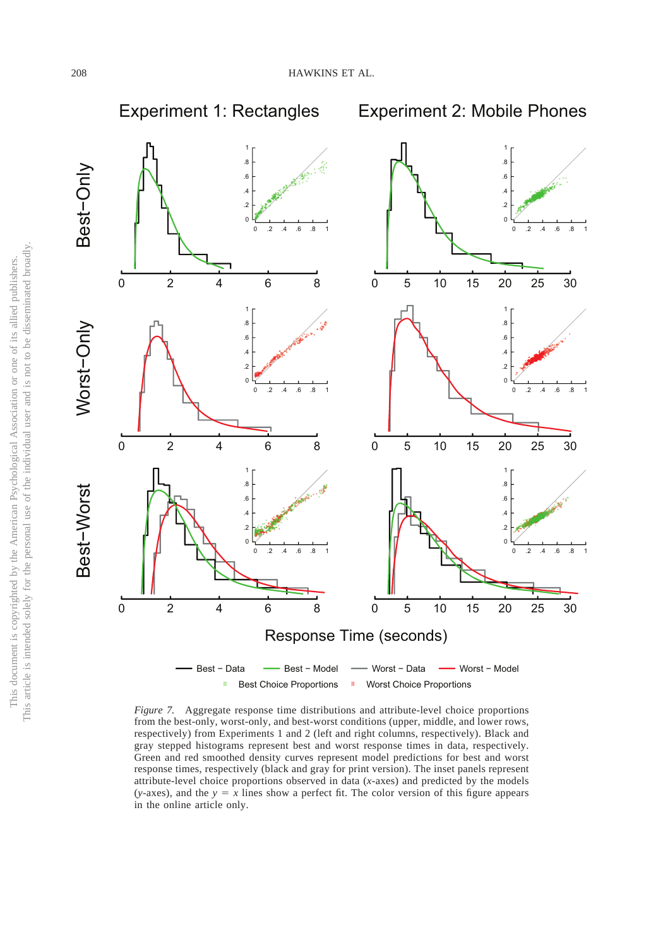

<span id="page-16-0"></span>*Figure 7.* Aggregate response time distributions and attribute-level choice proportions from the best-only, worst-only, and best-worst conditions (upper, middle, and lower rows, respectively) from Experiments 1 and 2 (left and right columns, respectively). Black and gray stepped histograms represent best and worst response times in data, respectively. Green and red smoothed density curves represent model predictions for best and worst response times, respectively (black and gray for print version). The inset panels represent attribute-level choice proportions observed in data (*x*-axes) and predicted by the models  $(y$ -axes), and the  $y = x$  lines show a perfect fit. The color version of this figure appears in the online article only.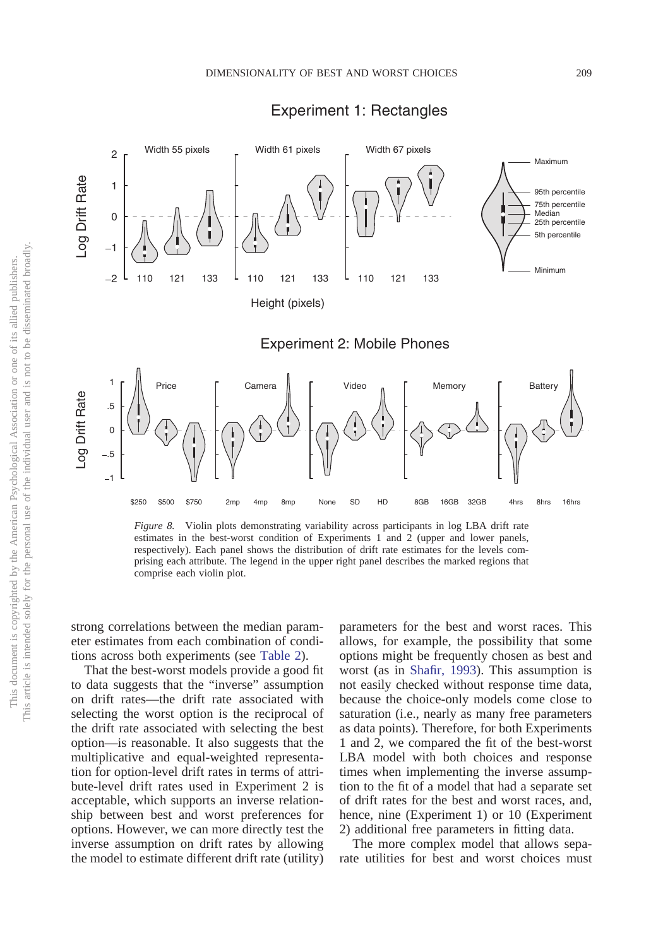

# Experiment 1: Rectangles

*Figure 8.* Violin plots demonstrating variability across participants in log LBA drift rate estimates in the best-worst condition of Experiments 1 and 2 (upper and lower panels, respectively). Each panel shows the distribution of drift rate estimates for the levels comprising each attribute. The legend in the upper right panel describes the marked regions that comprise each violin plot.

None SD HD

2mp 4mp 8mp

strong correlations between the median parameter estimates from each combination of conditions across both experiments (see [Table 2\)](#page-18-0).

<span id="page-17-0"></span>\$250 \$500 \$750

That the best-worst models provide a good fit to data suggests that the "inverse" assumption on drift rates—the drift rate associated with selecting the worst option is the reciprocal of the drift rate associated with selecting the best option—is reasonable. It also suggests that the multiplicative and equal-weighted representation for option-level drift rates in terms of attribute-level drift rates used in Experiment 2 is acceptable, which supports an inverse relationship between best and worst preferences for options. However, we can more directly test the inverse assumption on drift rates by allowing the model to estimate different drift rate (utility)

parameters for the best and worst races. This allows, for example, the possibility that some options might be frequently chosen as best and worst (as in [Shafir, 1993\)](#page-22-1). This assumption is not easily checked without response time data, because the choice-only models come close to saturation (i.e., nearly as many free parameters as data points). Therefore, for both Experiments 1 and 2, we compared the fit of the best-worst LBA model with both choices and response times when implementing the inverse assumption to the fit of a model that had a separate set of drift rates for the best and worst races, and, hence, nine (Experiment 1) or 10 (Experiment 2) additional free parameters in fitting data.

8GB 16GB 32GB

4hrs 8hrs 16hrs

The more complex model that allows separate utilities for best and worst choices must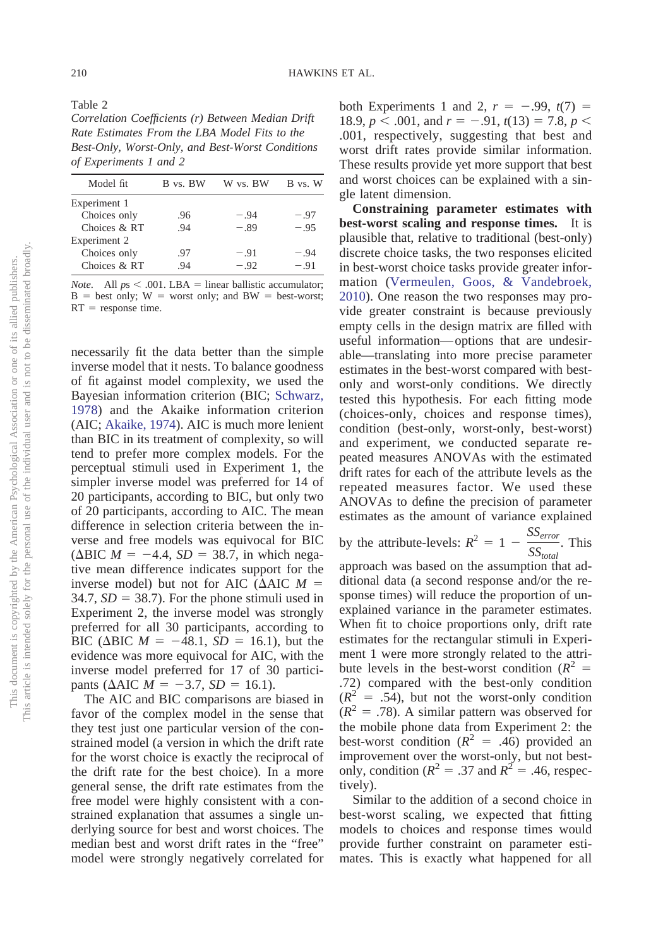<span id="page-18-0"></span>Table 2

*Correlation Coefficients (r) Between Median Drift Rate Estimates From the LBA Model Fits to the Best-Only, Worst-Only, and Best-Worst Conditions of Experiments 1 and 2*

| Model fit    | B vs. BW | W vs. BW | B vs. W |
|--------------|----------|----------|---------|
| Experiment 1 |          |          |         |
| Choices only | .96      | $-.94$   | $-.97$  |
| Choices & RT | .94      | $-.89$   | $-95$   |
| Experiment 2 |          |          |         |
| Choices only | .97      | $-.91$   | $-.94$  |
| Choices & RT | .94      | $-92$    | $-91$   |
|              |          |          |         |

*Note.* All  $ps < .001$ . LBA = linear ballistic accumulator;  $B =$  best only;  $W =$  worst only; and  $BW =$  best-worst;  $RT$  = response time.

necessarily fit the data better than the simple inverse model that it nests. To balance goodness of fit against model complexity, we used the Bayesian information criterion (BIC; [Schwarz,](#page-22-10) [1978\)](#page-22-10) and the Akaike information criterion (AIC; [Akaike, 1974\)](#page-20-11). AIC is much more lenient than BIC in its treatment of complexity, so will tend to prefer more complex models. For the perceptual stimuli used in Experiment 1, the simpler inverse model was preferred for 14 of 20 participants, according to BIC, but only two of 20 participants, according to AIC. The mean difference in selection criteria between the inverse and free models was equivocal for BIC  $(\Delta BIC \t M = -4.4, SD = 38.7, in which nega$ tive mean difference indicates support for the inverse model) but not for AIC ( $\triangle$ AIC  $M =$  $34.7, SD = 38.7$ . For the phone stimuli used in Experiment 2, the inverse model was strongly preferred for all 30 participants, according to BIC ( $\triangle BIC$  *M* = -48.1, *SD* = 16.1), but the evidence was more equivocal for AIC, with the inverse model preferred for 17 of 30 participants ( $\triangle$ AIC *M* = -3.7, *SD* = 16.1).

The AIC and BIC comparisons are biased in favor of the complex model in the sense that they test just one particular version of the constrained model (a version in which the drift rate for the worst choice is exactly the reciprocal of the drift rate for the best choice). In a more general sense, the drift rate estimates from the free model were highly consistent with a constrained explanation that assumes a single underlying source for best and worst choices. The median best and worst drift rates in the "free" model were strongly negatively correlated for both Experiments 1 and 2,  $r = -.99, t(7) =$ 18.9,  $p < .001$ , and  $r = -.91$ ,  $t(13) = 7.8$ ,  $p <$ .001, respectively, suggesting that best and worst drift rates provide similar information. These results provide yet more support that best and worst choices can be explained with a single latent dimension.

**Constraining parameter estimates with best-worst scaling and response times.** It is plausible that, relative to traditional (best-only) discrete choice tasks, the two responses elicited in best-worst choice tasks provide greater information [\(Vermeulen, Goos, & Vandebroek,](#page-22-11) [2010\)](#page-22-11). One reason the two responses may provide greater constraint is because previously empty cells in the design matrix are filled with useful information—options that are undesirable—translating into more precise parameter estimates in the best-worst compared with bestonly and worst-only conditions. We directly tested this hypothesis. For each fitting mode (choices-only, choices and response times), condition (best-only, worst-only, best-worst) and experiment, we conducted separate repeated measures ANOVAs with the estimated drift rates for each of the attribute levels as the repeated measures factor. We used these ANOVAs to define the precision of parameter estimates as the amount of variance explained by the attribute-levels:  $R^2 = 1 - \frac{SS_{error}}{SG}$ 

 $\frac{1}{SS_{total}}$ . This approach was based on the assumption that additional data (a second response and/or the response times) will reduce the proportion of unexplained variance in the parameter estimates. When fit to choice proportions only, drift rate estimates for the rectangular stimuli in Experiment 1 were more strongly related to the attribute levels in the best-worst condition  $(R^2 =$ .72) compared with the best-only condition  $(R^2 = .54)$ , but not the worst-only condition  $(R<sup>2</sup> = .78)$ . A similar pattern was observed for the mobile phone data from Experiment 2: the best-worst condition  $(R^2 = .46)$  provided an improvement over the worst-only, but not bestonly, condition ( $R^2 = .37$  and  $R^2 = .46$ , respectively).

Similar to the addition of a second choice in best-worst scaling, we expected that fitting models to choices and response times would provide further constraint on parameter estimates. This is exactly what happened for all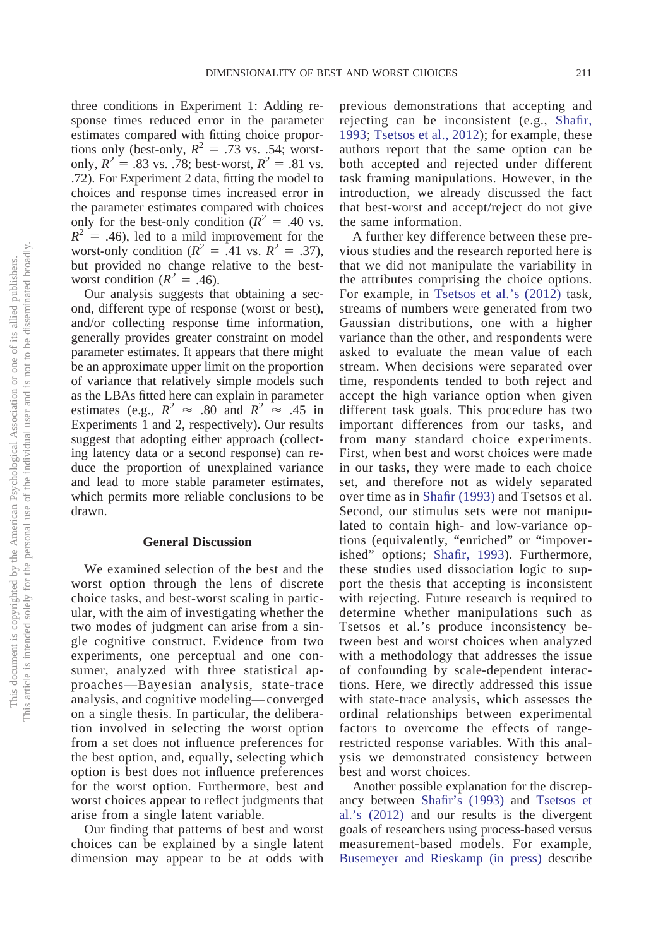three conditions in Experiment 1: Adding response times reduced error in the parameter estimates compared with fitting choice proportions only (best-only,  $R^2 = .73$  vs. .54; worstonly,  $R^2 = .83$  vs. .78; best-worst,  $R^2 = .81$  vs. .72). For Experiment 2 data, fitting the model to choices and response times increased error in the parameter estimates compared with choices only for the best-only condition ( $R^2 = .40$  vs.  $R^2 = .46$ ), led to a mild improvement for the worst-only condition ( $R^2 = .41$  vs.  $R^2 = .37$ ), but provided no change relative to the bestworst condition  $(R^2 = 0.46)$ .

Our analysis suggests that obtaining a second, different type of response (worst or best), and/or collecting response time information, generally provides greater constraint on model parameter estimates. It appears that there might be an approximate upper limit on the proportion of variance that relatively simple models such as the LBAs fitted here can explain in parameter estimates (e.g.,  $R^2 \approx .80$  and  $R^2 \approx .45$  in Experiments 1 and 2, respectively). Our results suggest that adopting either approach (collecting latency data or a second response) can reduce the proportion of unexplained variance and lead to more stable parameter estimates, which permits more reliable conclusions to be drawn.

### **General Discussion**

We examined selection of the best and the worst option through the lens of discrete choice tasks, and best-worst scaling in particular, with the aim of investigating whether the two modes of judgment can arise from a single cognitive construct. Evidence from two experiments, one perceptual and one consumer, analyzed with three statistical approaches—Bayesian analysis, state-trace analysis, and cognitive modeling—converged on a single thesis. In particular, the deliberation involved in selecting the worst option from a set does not influence preferences for the best option, and, equally, selecting which option is best does not influence preferences for the worst option. Furthermore, best and worst choices appear to reflect judgments that arise from a single latent variable.

Our finding that patterns of best and worst choices can be explained by a single latent dimension may appear to be at odds with previous demonstrations that accepting and rejecting can be inconsistent (e.g., [Shafir,](#page-22-1) [1993;](#page-22-1) [Tsetsos et al., 2012\)](#page-22-2); for example, these authors report that the same option can be both accepted and rejected under different task framing manipulations. However, in the introduction, we already discussed the fact that best-worst and accept/reject do not give the same information.

A further key difference between these previous studies and the research reported here is that we did not manipulate the variability in the attributes comprising the choice options. For example, in [Tsetsos et al.'s \(2012\)](#page-22-2) task, streams of numbers were generated from two Gaussian distributions, one with a higher variance than the other, and respondents were asked to evaluate the mean value of each stream. When decisions were separated over time, respondents tended to both reject and accept the high variance option when given different task goals. This procedure has two important differences from our tasks, and from many standard choice experiments. First, when best and worst choices were made in our tasks, they were made to each choice set, and therefore not as widely separated over time as in [Shafir \(1993\)](#page-22-1) and Tsetsos et al. Second, our stimulus sets were not manipulated to contain high- and low-variance options (equivalently, "enriched" or "impoverished" options; [Shafir, 1993\)](#page-22-1). Furthermore, these studies used dissociation logic to support the thesis that accepting is inconsistent with rejecting. Future research is required to determine whether manipulations such as Tsetsos et al.'s produce inconsistency between best and worst choices when analyzed with a methodology that addresses the issue of confounding by scale-dependent interactions. Here, we directly addressed this issue with state-trace analysis, which assesses the ordinal relationships between experimental factors to overcome the effects of rangerestricted response variables. With this analysis we demonstrated consistency between best and worst choices.

Another possible explanation for the discrepancy between [Shafir's \(1993\)](#page-22-1) and [Tsetsos et](#page-22-2) [al.'s \(2012\)](#page-22-2) and our results is the divergent goals of researchers using process-based versus measurement-based models. For example, [Busemeyer and Rieskamp \(in press\)](#page-20-12) describe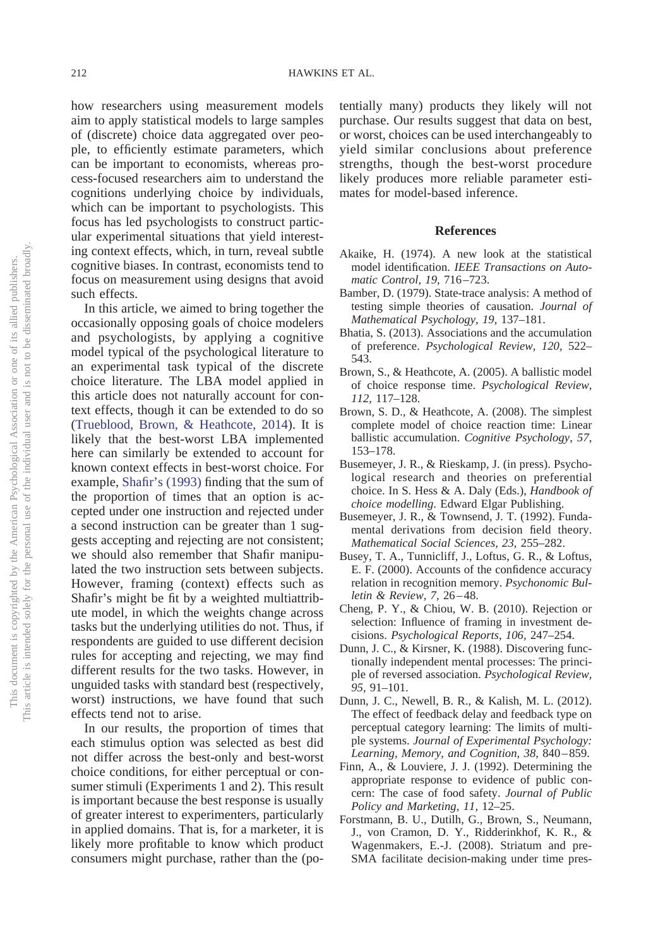how researchers using measurement models aim to apply statistical models to large samples of (discrete) choice data aggregated over people, to efficiently estimate parameters, which can be important to economists, whereas process-focused researchers aim to understand the cognitions underlying choice by individuals, which can be important to psychologists. This focus has led psychologists to construct particular experimental situations that yield interesting context effects, which, in turn, reveal subtle cognitive biases. In contrast, economists tend to focus on measurement using designs that avoid such effects.

In this article, we aimed to bring together the occasionally opposing goals of choice modelers and psychologists, by applying a cognitive model typical of the psychological literature to an experimental task typical of the discrete choice literature. The LBA model applied in this article does not naturally account for context effects, though it can be extended to do so [\(Trueblood, Brown, & Heathcote, 2014\)](#page-22-12). It is likely that the best-worst LBA implemented here can similarly be extended to account for known context effects in best-worst choice. For example, [Shafir's \(1993\)](#page-22-1) finding that the sum of the proportion of times that an option is accepted under one instruction and rejected under a second instruction can be greater than 1 suggests accepting and rejecting are not consistent; we should also remember that Shafir manipulated the two instruction sets between subjects. However, framing (context) effects such as Shafir's might be fit by a weighted multiattribute model, in which the weights change across tasks but the underlying utilities do not. Thus, if respondents are guided to use different decision rules for accepting and rejecting, we may find different results for the two tasks. However, in unguided tasks with standard best (respectively, worst) instructions, we have found that such effects tend not to arise.

In our results, the proportion of times that each stimulus option was selected as best did not differ across the best-only and best-worst choice conditions, for either perceptual or consumer stimuli (Experiments 1 and 2). This result is important because the best response is usually of greater interest to experimenters, particularly in applied domains. That is, for a marketer, it is likely more profitable to know which product consumers might purchase, rather than the (potentially many) products they likely will not purchase. Our results suggest that data on best, or worst, choices can be used interchangeably to yield similar conclusions about preference strengths, though the best-worst procedure likely produces more reliable parameter estimates for model-based inference.

## **References**

- <span id="page-20-11"></span>Akaike, H. (1974). A new look at the statistical model identification. *IEEE Transactions on Automatic Control, 19,* 716–723.
- <span id="page-20-2"></span>Bamber, D. (1979). State-trace analysis: A method of testing simple theories of causation. *Journal of Mathematical Psychology, 19,* 137–181.
- <span id="page-20-7"></span>Bhatia, S. (2013). Associations and the accumulation of preference. *Psychological Review, 120,* 522– 543.
- <span id="page-20-9"></span>Brown, S., & Heathcote, A. (2005). A ballistic model of choice response time. *Psychological Review, 112,* 117–128.
- <span id="page-20-6"></span>Brown, S. D., & Heathcote, A. (2008). The simplest complete model of choice reaction time: Linear ballistic accumulation. *Cognitive Psychology, 57,* 153–178.
- <span id="page-20-12"></span>Busemeyer, J. R., & Rieskamp, J. (in press). Psychological research and theories on preferential choice. In S. Hess & A. Daly (Eds.), *Handbook of choice modelling*. Edward Elgar Publishing.
- <span id="page-20-8"></span>Busemeyer, J. R., & Townsend, J. T. (1992). Fundamental derivations from decision field theory. *Mathematical Social Sciences, 23,* 255–282.
- <span id="page-20-5"></span>Busey, T. A., Tunnicliff, J., Loftus, G. R., & Loftus, E. F. (2000). Accounts of the confidence accuracy relation in recognition memory. *Psychonomic Bulletin & Review, 7,* 26–48.
- <span id="page-20-1"></span>Cheng, P. Y., & Chiou, W. B. (2010). Rejection or selection: Influence of framing in investment decisions. *Psychological Reports, 106,* 247–254.
- <span id="page-20-3"></span>Dunn, J. C., & Kirsner, K. (1988). Discovering functionally independent mental processes: The principle of reversed association. *Psychological Review, 95,* 91–101.
- <span id="page-20-4"></span>Dunn, J. C., Newell, B. R., & Kalish, M. L. (2012). The effect of feedback delay and feedback type on perceptual category learning: The limits of multiple systems. *Journal of Experimental Psychology: Learning, Memory, and Cognition, 38,* 840–859.
- <span id="page-20-0"></span>Finn, A., & Louviere, J. J. (1992). Determining the appropriate response to evidence of public concern: The case of food safety. *Journal of Public Policy and Marketing, 11,* 12–25.
- <span id="page-20-10"></span>Forstmann, B. U., Dutilh, G., Brown, S., Neumann, J., von Cramon, D. Y., Ridderinkhof, K. R., & Wagenmakers, E.-J. (2008). Striatum and pre-SMA facilitate decision-making under time pres-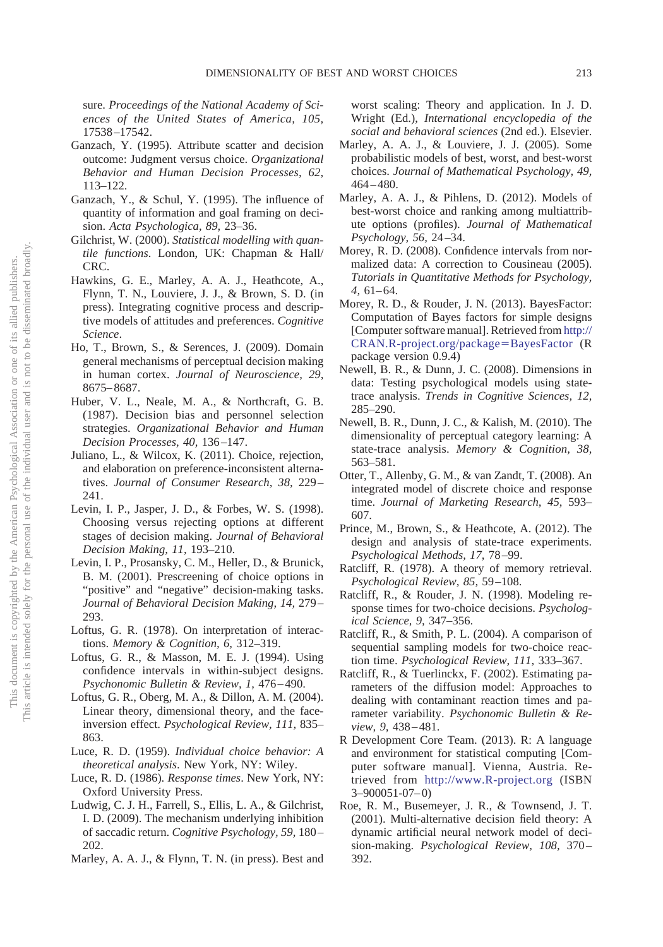sure. *Proceedings of the National Academy of Sciences of the United States of America, 105,* 17538–17542.

- <span id="page-21-1"></span>Ganzach, Y. (1995). Attribute scatter and decision outcome: Judgment versus choice. *Organizational Behavior and Human Decision Processes, 62,* 113–122.
- <span id="page-21-2"></span>Ganzach, Y., & Schul, Y. (1995). The influence of quantity of information and goal framing on decision. *Acta Psychologica, 89,* 23–36.
- <span id="page-21-29"></span>Gilchrist, W. (2000). *Statistical modelling with quantile functions*. London, UK: Chapman & Hall/ CRC.
- <span id="page-21-8"></span>Hawkins, G. E., Marley, A. A. J., Heathcote, A., Flynn, T. N., Louviere, J. J., & Brown, S. D. (in press). Integrating cognitive process and descriptive models of attitudes and preferences. *Cognitive Science*.
- <span id="page-21-25"></span>Ho, T., Brown, S., & Serences, J. (2009). Domain general mechanisms of perceptual decision making in human cortex. *Journal of Neuroscience, 29,* 8675–8687.
- <span id="page-21-5"></span>Huber, V. L., Neale, M. A., & Northcraft, G. B. (1987). Decision bias and personnel selection strategies. *Organizational Behavior and Human Decision Processes, 40,* 136–147.
- <span id="page-21-3"></span>Juliano, L., & Wilcox, K. (2011). Choice, rejection, and elaboration on preference-inconsistent alternatives. *Journal of Consumer Research, 38,* 229– 241.
- <span id="page-21-6"></span>Levin, I. P., Jasper, J. D., & Forbes, W. S. (1998). Choosing versus rejecting options at different stages of decision making. *Journal of Behavioral Decision Making, 11,* 193–210.
- <span id="page-21-7"></span>Levin, I. P., Prosansky, C. M., Heller, D., & Brunick, B. M. (2001). Prescreening of choice options in "positive" and "negative" decision-making tasks. *Journal of Behavioral Decision Making, 14,* 279– 293.
- <span id="page-21-4"></span>Loftus, G. R. (1978). On interpretation of interactions. *Memory & Cognition, 6,* 312–319.
- <span id="page-21-16"></span>Loftus, G. R., & Masson, M. E. J. (1994). Using confidence intervals in within-subject designs. *Psychonomic Bulletin & Review, 1,* 476–490.
- <span id="page-21-14"></span>Loftus, G. R., Oberg, M. A., & Dillon, A. M. (2004). Linear theory, dimensional theory, and the faceinversion effect. *Psychological Review, 111,* 835– 863.
- <span id="page-21-19"></span>Luce, R. D. (1959). *Individual choice behavior: A theoretical analysis*. New York, NY: Wiley.
- <span id="page-21-23"></span>Luce, R. D. (1986). *Response times*. New York, NY: Oxford University Press.
- <span id="page-21-26"></span>Ludwig, C. J. H., Farrell, S., Ellis, L. A., & Gilchrist, I. D. (2009). The mechanism underlying inhibition of saccadic return. *Cognitive Psychology, 59,* 180– 202.
- <span id="page-21-20"></span>Marley, A. A. J., & Flynn, T. N. (in press). Best and

worst scaling: Theory and application. In J. D. Wright (Ed.), *International encyclopedia of the social and behavioral sciences* (2nd ed.). Elsevier.

- <span id="page-21-27"></span>Marley, A. A. J., & Louviere, J. J. (2005). Some probabilistic models of best, worst, and best-worst choices. *Journal of Mathematical Psychology, 49,* 464–480.
- <span id="page-21-0"></span>Marley, A. A. J., & Pihlens, D. (2012). Models of best-worst choice and ranking among multiattribute options (profiles). *Journal of Mathematical Psychology, 56,* 24–34.
- <span id="page-21-15"></span>Morey, R. D. (2008). Confidence intervals from normalized data: A correction to Cousineau (2005). *Tutorials in Quantitative Methods for Psychology, 4,* 61–64.
- <span id="page-21-9"></span>Morey, R. D., & Rouder, J. N. (2013). BayesFactor: Computation of Bayes factors for simple designs [Computer software manual]. Retrieved from [http://](http://CRAN.R-project.org/package=BayesFactor) [CRAN.R-project.org/package](http://CRAN.R-project.org/package=BayesFactor)-BayesFactor (R package version 0.9.4)
- <span id="page-21-11"></span>Newell, B. R., & Dunn, J. C. (2008). Dimensions in data: Testing psychological models using statetrace analysis. *Trends in Cognitive Sciences, 12,* 285–290.
- <span id="page-21-12"></span>Newell, B. R., Dunn, J. C., & Kalish, M. (2010). The dimensionality of perceptual category learning: A state-trace analysis. *Memory & Cognition, 38,* 563–581.
- <span id="page-21-17"></span>Otter, T., Allenby, G. M., & van Zandt, T. (2008). An integrated model of discrete choice and response time. *Journal of Marketing Research, 45,* 593– 607.
- <span id="page-21-13"></span>Prince, M., Brown, S., & Heathcote, A. (2012). The design and analysis of state-trace experiments. *Psychological Methods, 17,* 78–99.
- <span id="page-21-21"></span>Ratcliff, R. (1978). A theory of memory retrieval. *Psychological Review, 85,* 59–108.
- <span id="page-21-22"></span>Ratcliff, R., & Rouder, J. N. (1998). Modeling response times for two-choice decisions. *Psychological Science, 9,* 347–356.
- <span id="page-21-24"></span>Ratcliff, R., & Smith, P. L. (2004). A comparison of sequential sampling models for two-choice reaction time. *Psychological Review, 111,* 333–367.
- <span id="page-21-28"></span>Ratcliff, R., & Tuerlinckx, F. (2002). Estimating parameters of the diffusion model: Approaches to dealing with contaminant reaction times and parameter variability. *Psychonomic Bulletin & Review, 9,* 438–481.
- <span id="page-21-10"></span>R Development Core Team. (2013). R: A language and environment for statistical computing [Computer software manual]. Vienna, Austria. Retrieved from <http://www.R-project.org> (ISBN 3–900051-07–0)
- <span id="page-21-18"></span>Roe, R. M., Busemeyer, J. R., & Townsend, J. T. (2001). Multi-alternative decision field theory: A dynamic artificial neural network model of decision-making. *Psychological Review, 108,* 370– 392.